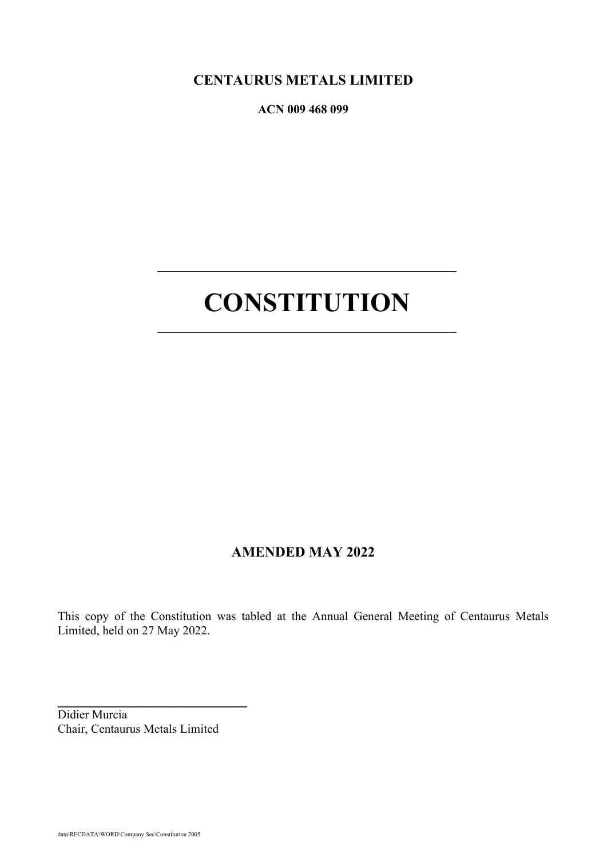**CENTAURUS METALS LIMITED**

**ACN 009 468 099** 

# **CONSTITUTION**

# **AMENDED MAY 2022**

This copy of the Constitution was tabled at the Annual General Meeting of Centaurus Metals Limited, held on 27 May 2022.

Didier Murcia Chair, Centaurus Metals Limited

\_\_\_\_\_\_\_\_\_\_\_\_\_\_\_\_\_\_\_\_\_\_\_\_\_\_\_\_\_\_\_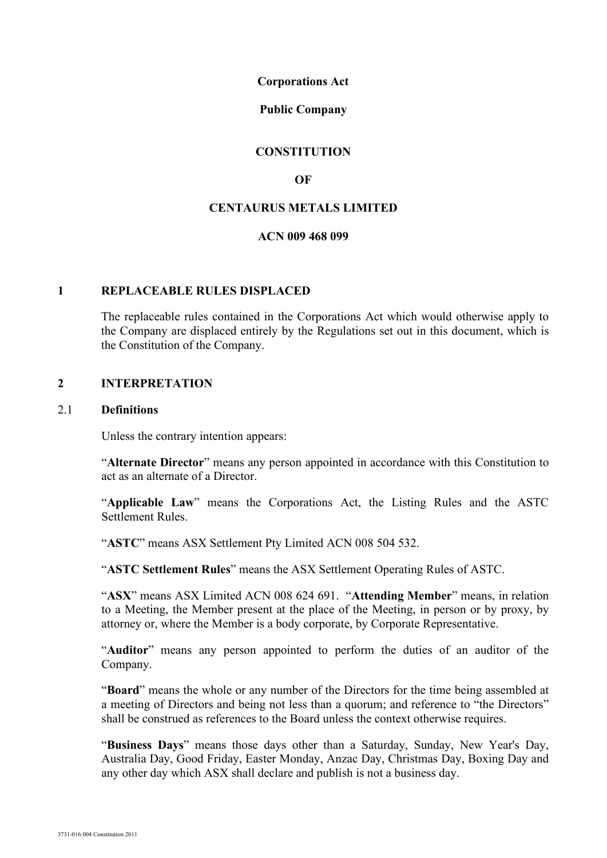#### **Corporations Act**

#### **Public Company**

#### **CONSTITUTION**

## **OF**

## **CENTAURUS METALS LIMITED**

## **ACN 009 468 099**

#### **1 REPLACEABLE RULES DISPLACED**

The replaceable rules contained in the Corporations Act which would otherwise apply to the Company are displaced entirely by the Regulations set out in this document, which is the Constitution of the Company.

#### **2 INTERPRETATION**

#### 2.1 **Definitions**

Unless the contrary intention appears:

"**Alternate Director**" means any person appointed in accordance with this Constitution to act as an alternate of a Director.

"**Applicable Law**" means the Corporations Act, the Listing Rules and the ASTC Settlement Rules.

"**ASTC**" means ASX Settlement Pty Limited ACN 008 504 532.

"**ASTC Settlement Rules**" means the ASX Settlement Operating Rules of ASTC.

"**ASX**" means ASX Limited ACN 008 624 691. "**Attending Member**" means, in relation to a Meeting, the Member present at the place of the Meeting, in person or by proxy, by attorney or, where the Member is a body corporate, by Corporate Representative.

"**Auditor**" means any person appointed to perform the duties of an auditor of the Company.

"**Board**" means the whole or any number of the Directors for the time being assembled at a meeting of Directors and being not less than a quorum; and reference to "the Directors" shall be construed as references to the Board unless the context otherwise requires.

"**Business Days**" means those days other than a Saturday, Sunday, New Year's Day, Australia Day, Good Friday, Easter Monday, Anzac Day, Christmas Day, Boxing Day and any other day which ASX shall declare and publish is not a business day.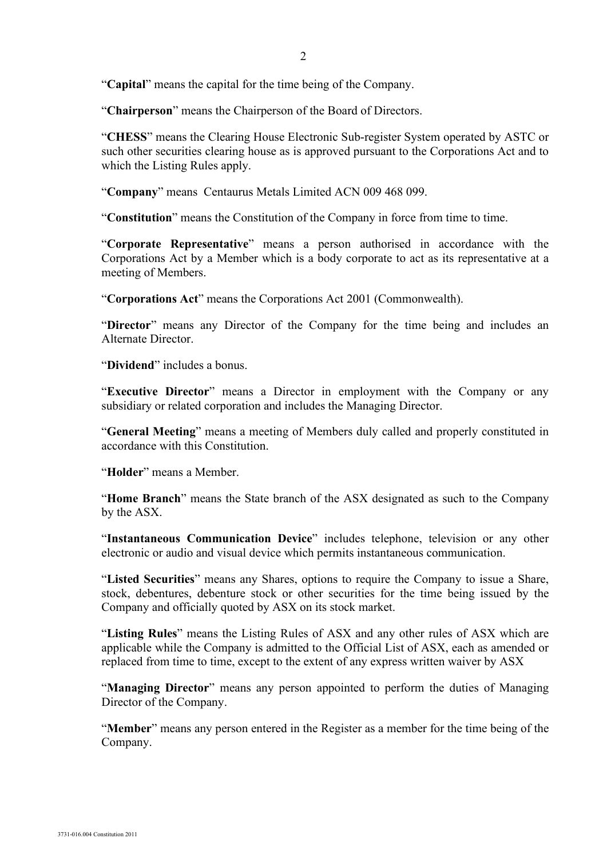"**Capital**" means the capital for the time being of the Company.

"**Chairperson**" means the Chairperson of the Board of Directors.

"**CHESS**" means the Clearing House Electronic Sub-register System operated by ASTC or such other securities clearing house as is approved pursuant to the Corporations Act and to which the Listing Rules apply.

"**Company**" means Centaurus Metals Limited ACN 009 468 099.

"**Constitution**" means the Constitution of the Company in force from time to time.

"**Corporate Representative**" means a person authorised in accordance with the Corporations Act by a Member which is a body corporate to act as its representative at a meeting of Members.

"**Corporations Act**" means the Corporations Act 2001 (Commonwealth).

"**Director**" means any Director of the Company for the time being and includes an Alternate Director.

"**Dividend**" includes a bonus.

"**Executive Director**" means a Director in employment with the Company or any subsidiary or related corporation and includes the Managing Director.

"**General Meeting**" means a meeting of Members duly called and properly constituted in accordance with this Constitution.

"**Holder**" means a Member.

"**Home Branch**" means the State branch of the ASX designated as such to the Company by the ASX.

"**Instantaneous Communication Device**" includes telephone, television or any other electronic or audio and visual device which permits instantaneous communication.

"**Listed Securities**" means any Shares, options to require the Company to issue a Share, stock, debentures, debenture stock or other securities for the time being issued by the Company and officially quoted by ASX on its stock market.

"**Listing Rules**" means the Listing Rules of ASX and any other rules of ASX which are applicable while the Company is admitted to the Official List of ASX, each as amended or replaced from time to time, except to the extent of any express written waiver by ASX

"**Managing Director**" means any person appointed to perform the duties of Managing Director of the Company.

"**Member**" means any person entered in the Register as a member for the time being of the Company.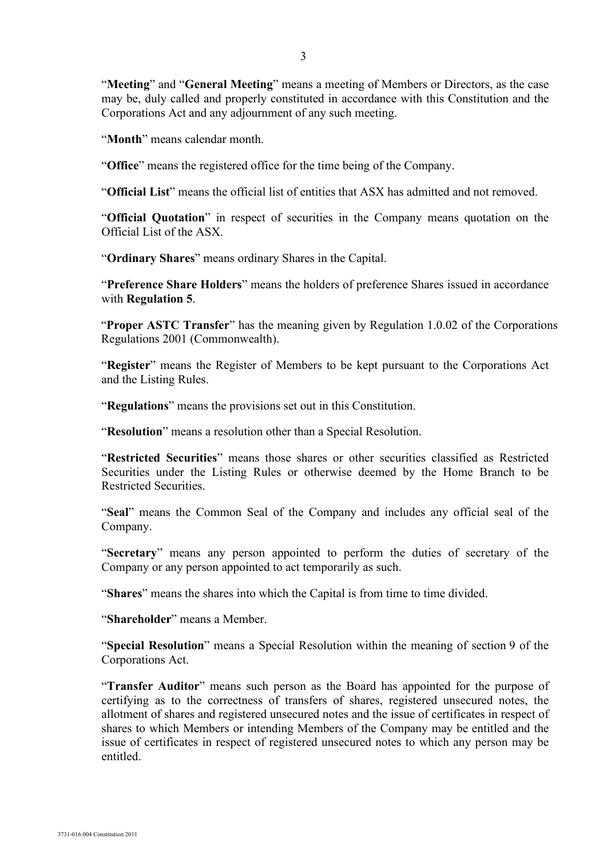"**Meeting**" and "**General Meeting**" means a meeting of Members or Directors, as the case may be, duly called and properly constituted in accordance with this Constitution and the Corporations Act and any adjournment of any such meeting.

"**Month**" means calendar month.

"**Office**" means the registered office for the time being of the Company.

"**Official List**" means the official list of entities that ASX has admitted and not removed.

"**Official Quotation**" in respect of securities in the Company means quotation on the Official List of the ASX.

"**Ordinary Shares**" means ordinary Shares in the Capital.

"**Preference Share Holders**" means the holders of preference Shares issued in accordance with **Regulation 5**.

"**Proper ASTC Transfer**" has the meaning given by Regulation 1.0.02 of the Corporations Regulations 2001 (Commonwealth).

"**Register**" means the Register of Members to be kept pursuant to the Corporations Act and the Listing Rules.

"**Regulations**" means the provisions set out in this Constitution.

"**Resolution**" means a resolution other than a Special Resolution.

"**Restricted Securities**" means those shares or other securities classified as Restricted Securities under the Listing Rules or otherwise deemed by the Home Branch to be Restricted Securities.

"**Seal**" means the Common Seal of the Company and includes any official seal of the Company.

"**Secretary**" means any person appointed to perform the duties of secretary of the Company or any person appointed to act temporarily as such.

"**Shares**" means the shares into which the Capital is from time to time divided.

"**Shareholder**" means a Member.

"**Special Resolution**" means a Special Resolution within the meaning of section 9 of the Corporations Act.

"**Transfer Auditor**" means such person as the Board has appointed for the purpose of certifying as to the correctness of transfers of shares, registered unsecured notes, the allotment of shares and registered unsecured notes and the issue of certificates in respect of shares to which Members or intending Members of the Company may be entitled and the issue of certificates in respect of registered unsecured notes to which any person may be entitled.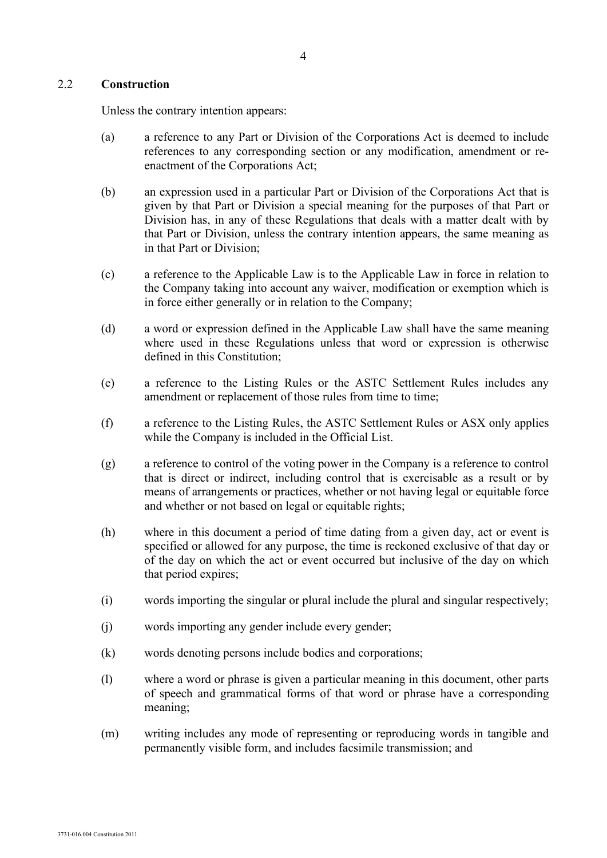#### 2.2 **Construction**

Unless the contrary intention appears:

- (a) a reference to any Part or Division of the Corporations Act is deemed to include references to any corresponding section or any modification, amendment or reenactment of the Corporations Act;
- (b) an expression used in a particular Part or Division of the Corporations Act that is given by that Part or Division a special meaning for the purposes of that Part or Division has, in any of these Regulations that deals with a matter dealt with by that Part or Division, unless the contrary intention appears, the same meaning as in that Part or Division;
- (c) a reference to the Applicable Law is to the Applicable Law in force in relation to the Company taking into account any waiver, modification or exemption which is in force either generally or in relation to the Company;
- (d) a word or expression defined in the Applicable Law shall have the same meaning where used in these Regulations unless that word or expression is otherwise defined in this Constitution;
- (e) a reference to the Listing Rules or the ASTC Settlement Rules includes any amendment or replacement of those rules from time to time;
- (f) a reference to the Listing Rules, the ASTC Settlement Rules or ASX only applies while the Company is included in the Official List.
- (g) a reference to control of the voting power in the Company is a reference to control that is direct or indirect, including control that is exercisable as a result or by means of arrangements or practices, whether or not having legal or equitable force and whether or not based on legal or equitable rights;
- (h) where in this document a period of time dating from a given day, act or event is specified or allowed for any purpose, the time is reckoned exclusive of that day or of the day on which the act or event occurred but inclusive of the day on which that period expires;
- (i) words importing the singular or plural include the plural and singular respectively;
- (j) words importing any gender include every gender;
- (k) words denoting persons include bodies and corporations;
- (l) where a word or phrase is given a particular meaning in this document, other parts of speech and grammatical forms of that word or phrase have a corresponding meaning;
- (m) writing includes any mode of representing or reproducing words in tangible and permanently visible form, and includes facsimile transmission; and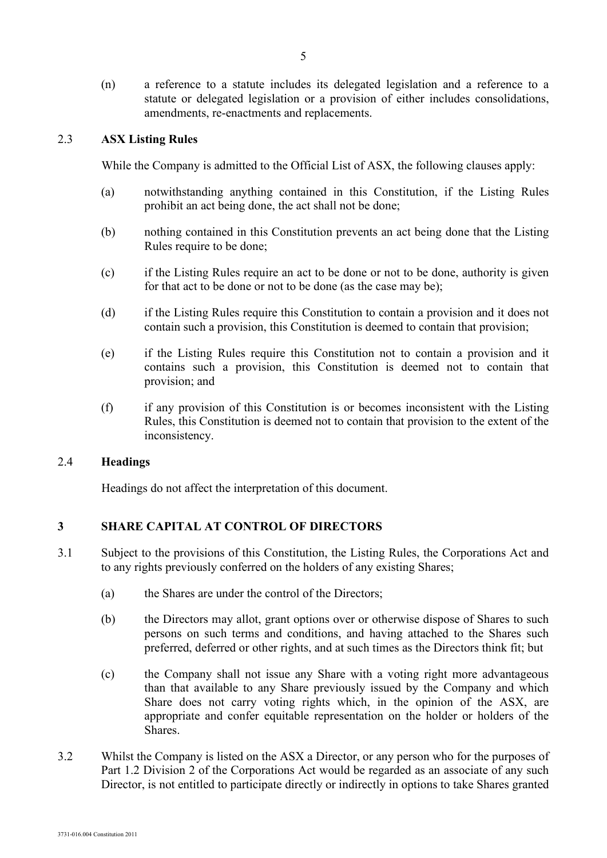(n) a reference to a statute includes its delegated legislation and a reference to a statute or delegated legislation or a provision of either includes consolidations, amendments, re-enactments and replacements.

#### 2.3 **ASX Listing Rules**

While the Company is admitted to the Official List of ASX, the following clauses apply:

- (a) notwithstanding anything contained in this Constitution, if the Listing Rules prohibit an act being done, the act shall not be done;
- (b) nothing contained in this Constitution prevents an act being done that the Listing Rules require to be done;
- (c) if the Listing Rules require an act to be done or not to be done, authority is given for that act to be done or not to be done (as the case may be);
- (d) if the Listing Rules require this Constitution to contain a provision and it does not contain such a provision, this Constitution is deemed to contain that provision;
- (e) if the Listing Rules require this Constitution not to contain a provision and it contains such a provision, this Constitution is deemed not to contain that provision; and
- (f) if any provision of this Constitution is or becomes inconsistent with the Listing Rules, this Constitution is deemed not to contain that provision to the extent of the inconsistency.

#### 2.4 **Headings**

Headings do not affect the interpretation of this document.

## **3 SHARE CAPITAL AT CONTROL OF DIRECTORS**

- 3.1 Subject to the provisions of this Constitution, the Listing Rules, the Corporations Act and to any rights previously conferred on the holders of any existing Shares;
	- (a) the Shares are under the control of the Directors;
	- (b) the Directors may allot, grant options over or otherwise dispose of Shares to such persons on such terms and conditions, and having attached to the Shares such preferred, deferred or other rights, and at such times as the Directors think fit; but
	- (c) the Company shall not issue any Share with a voting right more advantageous than that available to any Share previously issued by the Company and which Share does not carry voting rights which, in the opinion of the ASX, are appropriate and confer equitable representation on the holder or holders of the Shares.
- 3.2 Whilst the Company is listed on the ASX a Director, or any person who for the purposes of Part 1.2 Division 2 of the Corporations Act would be regarded as an associate of any such Director, is not entitled to participate directly or indirectly in options to take Shares granted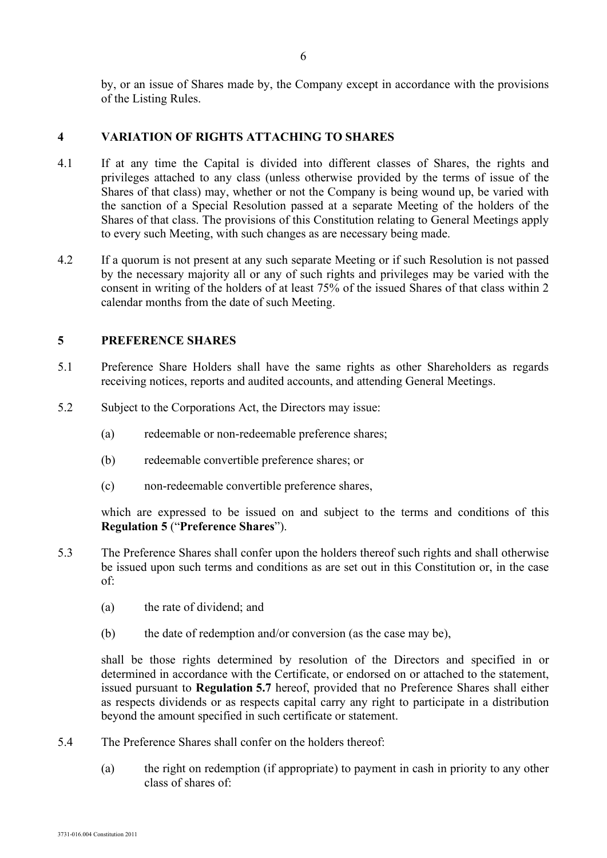by, or an issue of Shares made by, the Company except in accordance with the provisions of the Listing Rules.

## **4 VARIATION OF RIGHTS ATTACHING TO SHARES**

- 4.1 If at any time the Capital is divided into different classes of Shares, the rights and privileges attached to any class (unless otherwise provided by the terms of issue of the Shares of that class) may, whether or not the Company is being wound up, be varied with the sanction of a Special Resolution passed at a separate Meeting of the holders of the Shares of that class. The provisions of this Constitution relating to General Meetings apply to every such Meeting, with such changes as are necessary being made.
- 4.2 If a quorum is not present at any such separate Meeting or if such Resolution is not passed by the necessary majority all or any of such rights and privileges may be varied with the consent in writing of the holders of at least 75% of the issued Shares of that class within 2 calendar months from the date of such Meeting.

## **5 PREFERENCE SHARES**

- 5.1 Preference Share Holders shall have the same rights as other Shareholders as regards receiving notices, reports and audited accounts, and attending General Meetings.
- 5.2 Subject to the Corporations Act, the Directors may issue:
	- (a) redeemable or non-redeemable preference shares;
	- (b) redeemable convertible preference shares; or
	- (c) non-redeemable convertible preference shares,

which are expressed to be issued on and subject to the terms and conditions of this **Regulation 5** ("**Preference Shares**").

- 5.3 The Preference Shares shall confer upon the holders thereof such rights and shall otherwise be issued upon such terms and conditions as are set out in this Constitution or, in the case of:
	- (a) the rate of dividend; and
	- (b) the date of redemption and/or conversion (as the case may be),

shall be those rights determined by resolution of the Directors and specified in or determined in accordance with the Certificate, or endorsed on or attached to the statement, issued pursuant to **Regulation 5.7** hereof, provided that no Preference Shares shall either as respects dividends or as respects capital carry any right to participate in a distribution beyond the amount specified in such certificate or statement.

- 5.4 The Preference Shares shall confer on the holders thereof:
	- (a) the right on redemption (if appropriate) to payment in cash in priority to any other class of shares of: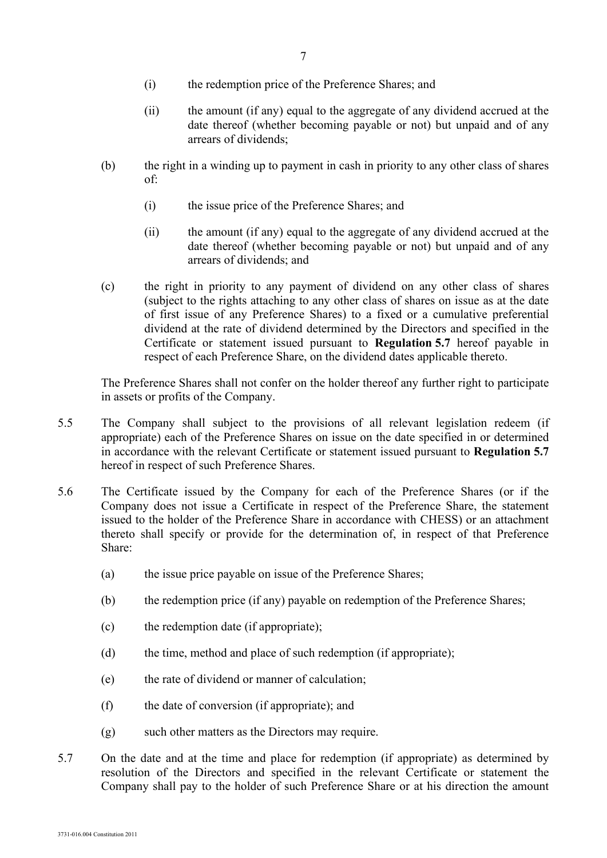- (i) the redemption price of the Preference Shares; and
- (ii) the amount (if any) equal to the aggregate of any dividend accrued at the date thereof (whether becoming payable or not) but unpaid and of any arrears of dividends;
- (b) the right in a winding up to payment in cash in priority to any other class of shares of:
	- (i) the issue price of the Preference Shares; and
	- (ii) the amount (if any) equal to the aggregate of any dividend accrued at the date thereof (whether becoming payable or not) but unpaid and of any arrears of dividends; and
- (c) the right in priority to any payment of dividend on any other class of shares (subject to the rights attaching to any other class of shares on issue as at the date of first issue of any Preference Shares) to a fixed or a cumulative preferential dividend at the rate of dividend determined by the Directors and specified in the Certificate or statement issued pursuant to **Regulation 5.7** hereof payable in respect of each Preference Share, on the dividend dates applicable thereto.

The Preference Shares shall not confer on the holder thereof any further right to participate in assets or profits of the Company.

- 5.5 The Company shall subject to the provisions of all relevant legislation redeem (if appropriate) each of the Preference Shares on issue on the date specified in or determined in accordance with the relevant Certificate or statement issued pursuant to **Regulation 5.7** hereof in respect of such Preference Shares.
- 5.6 The Certificate issued by the Company for each of the Preference Shares (or if the Company does not issue a Certificate in respect of the Preference Share, the statement issued to the holder of the Preference Share in accordance with CHESS) or an attachment thereto shall specify or provide for the determination of, in respect of that Preference Share:
	- (a) the issue price payable on issue of the Preference Shares;
	- (b) the redemption price (if any) payable on redemption of the Preference Shares;
	- (c) the redemption date (if appropriate);
	- (d) the time, method and place of such redemption (if appropriate);
	- (e) the rate of dividend or manner of calculation;
	- (f) the date of conversion (if appropriate); and
	- (g) such other matters as the Directors may require.
- 5.7 On the date and at the time and place for redemption (if appropriate) as determined by resolution of the Directors and specified in the relevant Certificate or statement the Company shall pay to the holder of such Preference Share or at his direction the amount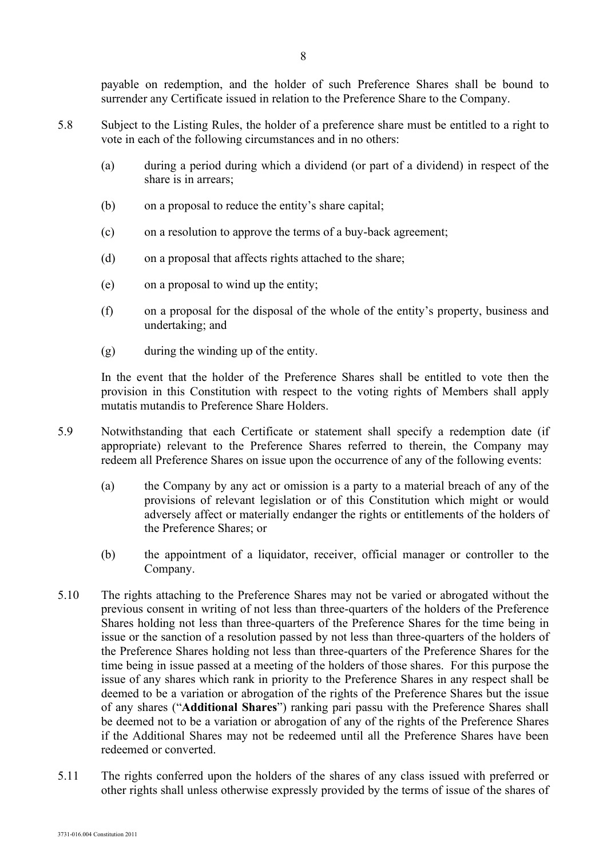payable on redemption, and the holder of such Preference Shares shall be bound to surrender any Certificate issued in relation to the Preference Share to the Company.

- 5.8 Subject to the Listing Rules, the holder of a preference share must be entitled to a right to vote in each of the following circumstances and in no others:
	- (a) during a period during which a dividend (or part of a dividend) in respect of the share is in arrears;
	- (b) on a proposal to reduce the entity's share capital;
	- (c) on a resolution to approve the terms of a buy-back agreement;
	- (d) on a proposal that affects rights attached to the share;
	- (e) on a proposal to wind up the entity;
	- (f) on a proposal for the disposal of the whole of the entity's property, business and undertaking; and
	- (g) during the winding up of the entity.

In the event that the holder of the Preference Shares shall be entitled to vote then the provision in this Constitution with respect to the voting rights of Members shall apply mutatis mutandis to Preference Share Holders.

- 5.9 Notwithstanding that each Certificate or statement shall specify a redemption date (if appropriate) relevant to the Preference Shares referred to therein, the Company may redeem all Preference Shares on issue upon the occurrence of any of the following events:
	- (a) the Company by any act or omission is a party to a material breach of any of the provisions of relevant legislation or of this Constitution which might or would adversely affect or materially endanger the rights or entitlements of the holders of the Preference Shares; or
	- (b) the appointment of a liquidator, receiver, official manager or controller to the Company.
- 5.10 The rights attaching to the Preference Shares may not be varied or abrogated without the previous consent in writing of not less than three-quarters of the holders of the Preference Shares holding not less than three-quarters of the Preference Shares for the time being in issue or the sanction of a resolution passed by not less than three-quarters of the holders of the Preference Shares holding not less than three-quarters of the Preference Shares for the time being in issue passed at a meeting of the holders of those shares. For this purpose the issue of any shares which rank in priority to the Preference Shares in any respect shall be deemed to be a variation or abrogation of the rights of the Preference Shares but the issue of any shares ("**Additional Shares**") ranking pari passu with the Preference Shares shall be deemed not to be a variation or abrogation of any of the rights of the Preference Shares if the Additional Shares may not be redeemed until all the Preference Shares have been redeemed or converted.
- 5.11 The rights conferred upon the holders of the shares of any class issued with preferred or other rights shall unless otherwise expressly provided by the terms of issue of the shares of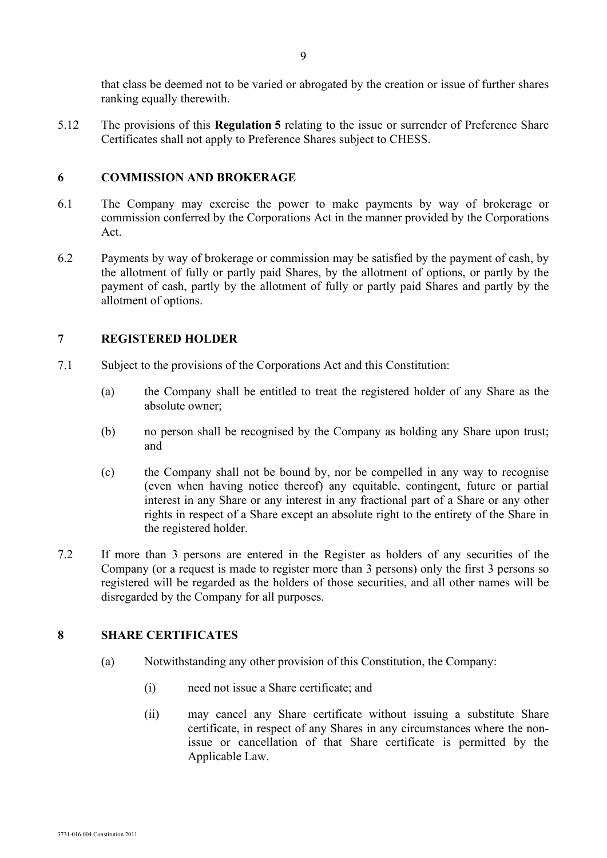that class be deemed not to be varied or abrogated by the creation or issue of further shares ranking equally therewith.

5.12 The provisions of this **Regulation 5** relating to the issue or surrender of Preference Share Certificates shall not apply to Preference Shares subject to CHESS.

## **6 COMMISSION AND BROKERAGE**

- 6.1 The Company may exercise the power to make payments by way of brokerage or commission conferred by the Corporations Act in the manner provided by the Corporations Act.
- 6.2 Payments by way of brokerage or commission may be satisfied by the payment of cash, by the allotment of fully or partly paid Shares, by the allotment of options, or partly by the payment of cash, partly by the allotment of fully or partly paid Shares and partly by the allotment of options.

## **7 REGISTERED HOLDER**

- 7.1 Subject to the provisions of the Corporations Act and this Constitution:
	- (a) the Company shall be entitled to treat the registered holder of any Share as the absolute owner;
	- (b) no person shall be recognised by the Company as holding any Share upon trust; and
	- (c) the Company shall not be bound by, nor be compelled in any way to recognise (even when having notice thereof) any equitable, contingent, future or partial interest in any Share or any interest in any fractional part of a Share or any other rights in respect of a Share except an absolute right to the entirety of the Share in the registered holder.
- 7.2 If more than 3 persons are entered in the Register as holders of any securities of the Company (or a request is made to register more than 3 persons) only the first 3 persons so registered will be regarded as the holders of those securities, and all other names will be disregarded by the Company for all purposes.

## **8 SHARE CERTIFICATES**

- (a) Notwithstanding any other provision of this Constitution, the Company:
	- (i) need not issue a Share certificate; and
	- (ii) may cancel any Share certificate without issuing a substitute Share certificate, in respect of any Shares in any circumstances where the nonissue or cancellation of that Share certificate is permitted by the Applicable Law.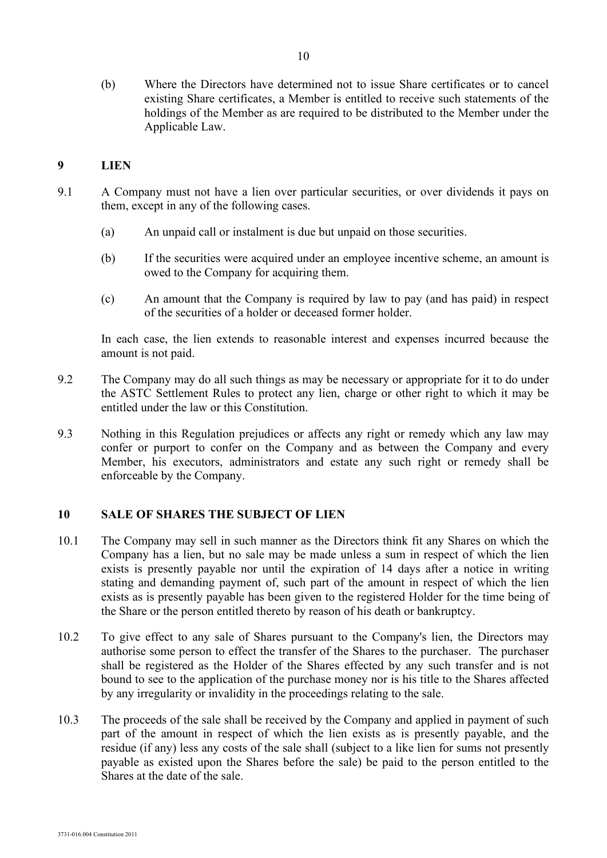(b) Where the Directors have determined not to issue Share certificates or to cancel existing Share certificates, a Member is entitled to receive such statements of the holdings of the Member as are required to be distributed to the Member under the Applicable Law.

#### **9 LIEN**

- 9.1 A Company must not have a lien over particular securities, or over dividends it pays on them, except in any of the following cases.
	- (a) An unpaid call or instalment is due but unpaid on those securities.
	- (b) If the securities were acquired under an employee incentive scheme, an amount is owed to the Company for acquiring them.
	- (c) An amount that the Company is required by law to pay (and has paid) in respect of the securities of a holder or deceased former holder.

In each case, the lien extends to reasonable interest and expenses incurred because the amount is not paid.

- 9.2 The Company may do all such things as may be necessary or appropriate for it to do under the ASTC Settlement Rules to protect any lien, charge or other right to which it may be entitled under the law or this Constitution.
- 9.3 Nothing in this Regulation prejudices or affects any right or remedy which any law may confer or purport to confer on the Company and as between the Company and every Member, his executors, administrators and estate any such right or remedy shall be enforceable by the Company.

## **10 SALE OF SHARES THE SUBJECT OF LIEN**

- 10.1 The Company may sell in such manner as the Directors think fit any Shares on which the Company has a lien, but no sale may be made unless a sum in respect of which the lien exists is presently payable nor until the expiration of 14 days after a notice in writing stating and demanding payment of, such part of the amount in respect of which the lien exists as is presently payable has been given to the registered Holder for the time being of the Share or the person entitled thereto by reason of his death or bankruptcy.
- 10.2 To give effect to any sale of Shares pursuant to the Company's lien, the Directors may authorise some person to effect the transfer of the Shares to the purchaser. The purchaser shall be registered as the Holder of the Shares effected by any such transfer and is not bound to see to the application of the purchase money nor is his title to the Shares affected by any irregularity or invalidity in the proceedings relating to the sale.
- 10.3 The proceeds of the sale shall be received by the Company and applied in payment of such part of the amount in respect of which the lien exists as is presently payable, and the residue (if any) less any costs of the sale shall (subject to a like lien for sums not presently payable as existed upon the Shares before the sale) be paid to the person entitled to the Shares at the date of the sale.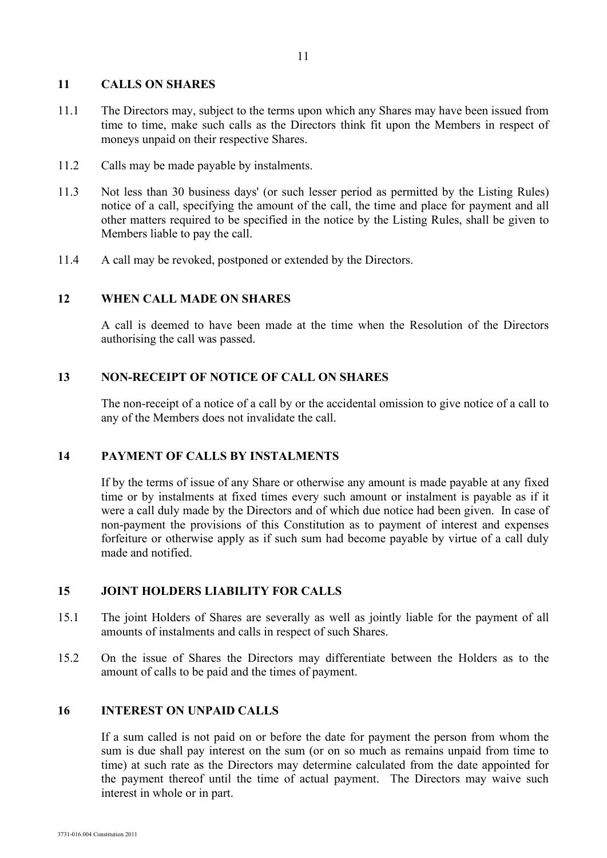#### **11 CALLS ON SHARES**

- 11.1 The Directors may, subject to the terms upon which any Shares may have been issued from time to time, make such calls as the Directors think fit upon the Members in respect of moneys unpaid on their respective Shares.
- 11.2 Calls may be made payable by instalments.
- 11.3 Not less than 30 business days' (or such lesser period as permitted by the Listing Rules) notice of a call, specifying the amount of the call, the time and place for payment and all other matters required to be specified in the notice by the Listing Rules, shall be given to Members liable to pay the call.
- 11.4 A call may be revoked, postponed or extended by the Directors.

## **12 WHEN CALL MADE ON SHARES**

A call is deemed to have been made at the time when the Resolution of the Directors authorising the call was passed.

#### **13 NON-RECEIPT OF NOTICE OF CALL ON SHARES**

The non-receipt of a notice of a call by or the accidental omission to give notice of a call to any of the Members does not invalidate the call.

## **14 PAYMENT OF CALLS BY INSTALMENTS**

If by the terms of issue of any Share or otherwise any amount is made payable at any fixed time or by instalments at fixed times every such amount or instalment is payable as if it were a call duly made by the Directors and of which due notice had been given. In case of non-payment the provisions of this Constitution as to payment of interest and expenses forfeiture or otherwise apply as if such sum had become payable by virtue of a call duly made and notified.

## **15 JOINT HOLDERS LIABILITY FOR CALLS**

- 15.1 The joint Holders of Shares are severally as well as jointly liable for the payment of all amounts of instalments and calls in respect of such Shares.
- 15.2 On the issue of Shares the Directors may differentiate between the Holders as to the amount of calls to be paid and the times of payment.

#### **16 INTEREST ON UNPAID CALLS**

If a sum called is not paid on or before the date for payment the person from whom the sum is due shall pay interest on the sum (or on so much as remains unpaid from time to time) at such rate as the Directors may determine calculated from the date appointed for the payment thereof until the time of actual payment. The Directors may waive such interest in whole or in part.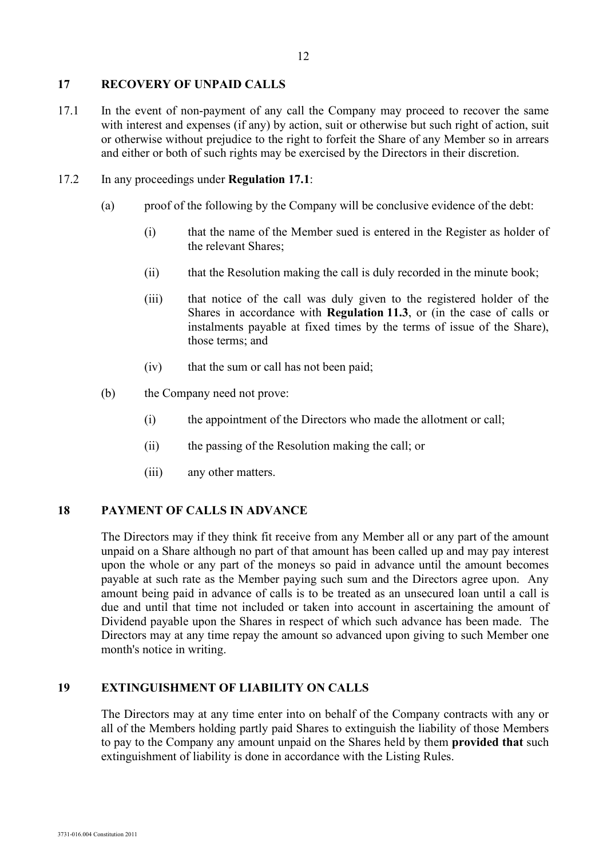## **17 RECOVERY OF UNPAID CALLS**

17.1 In the event of non-payment of any call the Company may proceed to recover the same with interest and expenses (if any) by action, suit or otherwise but such right of action, suit or otherwise without prejudice to the right to forfeit the Share of any Member so in arrears and either or both of such rights may be exercised by the Directors in their discretion.

## 17.2 In any proceedings under **Regulation 17.1**:

- (a) proof of the following by the Company will be conclusive evidence of the debt:
	- (i) that the name of the Member sued is entered in the Register as holder of the relevant Shares;
	- (ii) that the Resolution making the call is duly recorded in the minute book;
	- (iii) that notice of the call was duly given to the registered holder of the Shares in accordance with **Regulation 11.3**, or (in the case of calls or instalments payable at fixed times by the terms of issue of the Share), those terms; and
	- (iv) that the sum or call has not been paid;
- (b) the Company need not prove:
	- (i) the appointment of the Directors who made the allotment or call;
	- (ii) the passing of the Resolution making the call; or
	- (iii) any other matters.

## **18 PAYMENT OF CALLS IN ADVANCE**

The Directors may if they think fit receive from any Member all or any part of the amount unpaid on a Share although no part of that amount has been called up and may pay interest upon the whole or any part of the moneys so paid in advance until the amount becomes payable at such rate as the Member paying such sum and the Directors agree upon. Any amount being paid in advance of calls is to be treated as an unsecured loan until a call is due and until that time not included or taken into account in ascertaining the amount of Dividend payable upon the Shares in respect of which such advance has been made. The Directors may at any time repay the amount so advanced upon giving to such Member one month's notice in writing.

## **19 EXTINGUISHMENT OF LIABILITY ON CALLS**

The Directors may at any time enter into on behalf of the Company contracts with any or all of the Members holding partly paid Shares to extinguish the liability of those Members to pay to the Company any amount unpaid on the Shares held by them **provided that** such extinguishment of liability is done in accordance with the Listing Rules.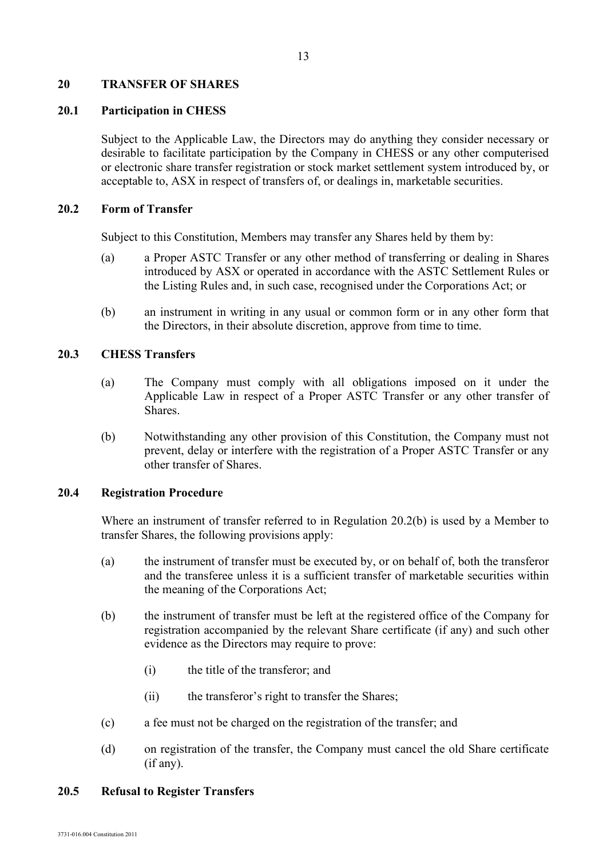#### **20 TRANSFER OF SHARES**

## **20.1 Participation in CHESS**

Subject to the Applicable Law, the Directors may do anything they consider necessary or desirable to facilitate participation by the Company in CHESS or any other computerised or electronic share transfer registration or stock market settlement system introduced by, or acceptable to, ASX in respect of transfers of, or dealings in, marketable securities.

## **20.2 Form of Transfer**

Subject to this Constitution, Members may transfer any Shares held by them by:

- (a) a Proper ASTC Transfer or any other method of transferring or dealing in Shares introduced by ASX or operated in accordance with the ASTC Settlement Rules or the Listing Rules and, in such case, recognised under the Corporations Act; or
- (b) an instrument in writing in any usual or common form or in any other form that the Directors, in their absolute discretion, approve from time to time.

## **20.3 CHESS Transfers**

- (a) The Company must comply with all obligations imposed on it under the Applicable Law in respect of a Proper ASTC Transfer or any other transfer of Shares.
- (b) Notwithstanding any other provision of this Constitution, the Company must not prevent, delay or interfere with the registration of a Proper ASTC Transfer or any other transfer of Shares.

#### **20.4 Registration Procedure**

Where an instrument of transfer referred to in Regulation 20.2(b) is used by a Member to transfer Shares, the following provisions apply:

- (a) the instrument of transfer must be executed by, or on behalf of, both the transferor and the transferee unless it is a sufficient transfer of marketable securities within the meaning of the Corporations Act;
- (b) the instrument of transfer must be left at the registered office of the Company for registration accompanied by the relevant Share certificate (if any) and such other evidence as the Directors may require to prove:
	- (i) the title of the transferor; and
	- (ii) the transferor's right to transfer the Shares;
- (c) a fee must not be charged on the registration of the transfer; and
- (d) on registration of the transfer, the Company must cancel the old Share certificate (if any).

#### **20.5 Refusal to Register Transfers**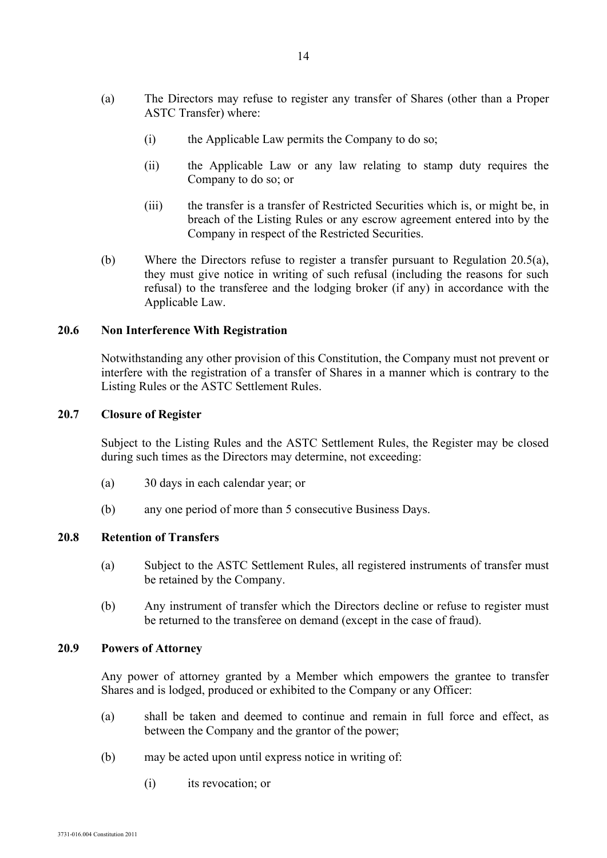- (a) The Directors may refuse to register any transfer of Shares (other than a Proper ASTC Transfer) where:
	- (i) the Applicable Law permits the Company to do so;
	- (ii) the Applicable Law or any law relating to stamp duty requires the Company to do so; or
	- (iii) the transfer is a transfer of Restricted Securities which is, or might be, in breach of the Listing Rules or any escrow agreement entered into by the Company in respect of the Restricted Securities.
- (b) Where the Directors refuse to register a transfer pursuant to Regulation 20.5(a), they must give notice in writing of such refusal (including the reasons for such refusal) to the transferee and the lodging broker (if any) in accordance with the Applicable Law.

#### **20.6 Non Interference With Registration**

Notwithstanding any other provision of this Constitution, the Company must not prevent or interfere with the registration of a transfer of Shares in a manner which is contrary to the Listing Rules or the ASTC Settlement Rules.

#### **20.7 Closure of Register**

Subject to the Listing Rules and the ASTC Settlement Rules, the Register may be closed during such times as the Directors may determine, not exceeding:

- (a) 30 days in each calendar year; or
- (b) any one period of more than 5 consecutive Business Days.

#### **20.8 Retention of Transfers**

- (a) Subject to the ASTC Settlement Rules, all registered instruments of transfer must be retained by the Company.
- (b) Any instrument of transfer which the Directors decline or refuse to register must be returned to the transferee on demand (except in the case of fraud).

#### **20.9 Powers of Attorney**

Any power of attorney granted by a Member which empowers the grantee to transfer Shares and is lodged, produced or exhibited to the Company or any Officer:

- (a) shall be taken and deemed to continue and remain in full force and effect, as between the Company and the grantor of the power;
- (b) may be acted upon until express notice in writing of:
	- (i) its revocation; or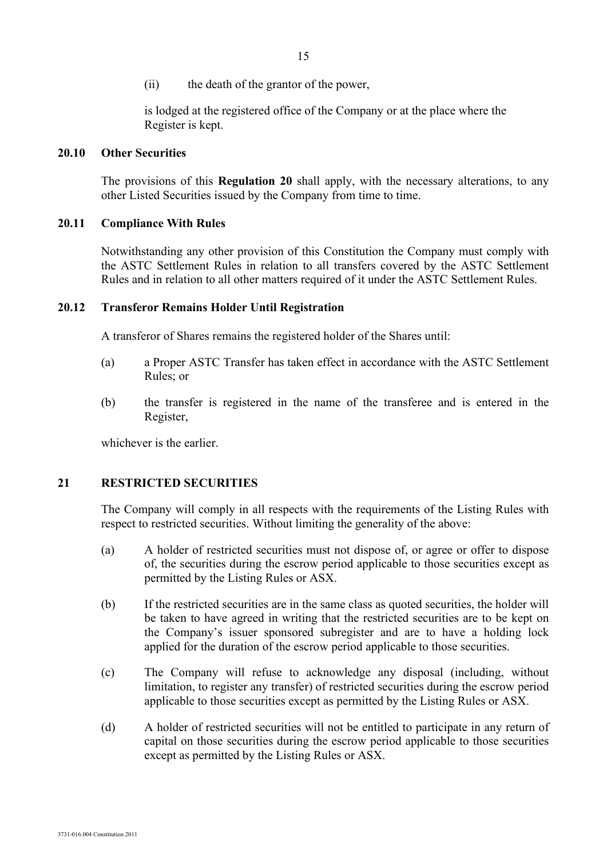(ii) the death of the grantor of the power,

is lodged at the registered office of the Company or at the place where the Register is kept.

#### **20.10 Other Securities**

The provisions of this **Regulation 20** shall apply, with the necessary alterations, to any other Listed Securities issued by the Company from time to time.

#### **20.11 Compliance With Rules**

Notwithstanding any other provision of this Constitution the Company must comply with the ASTC Settlement Rules in relation to all transfers covered by the ASTC Settlement Rules and in relation to all other matters required of it under the ASTC Settlement Rules.

#### **20.12 Transferor Remains Holder Until Registration**

A transferor of Shares remains the registered holder of the Shares until:

- (a) a Proper ASTC Transfer has taken effect in accordance with the ASTC Settlement Rules; or
- (b) the transfer is registered in the name of the transferee and is entered in the Register,

whichever is the earlier.

#### **21 RESTRICTED SECURITIES**

The Company will comply in all respects with the requirements of the Listing Rules with respect to restricted securities. Without limiting the generality of the above:

- (a) A holder of restricted securities must not dispose of, or agree or offer to dispose of, the securities during the escrow period applicable to those securities except as permitted by the Listing Rules or ASX.
- (b) If the restricted securities are in the same class as quoted securities, the holder will be taken to have agreed in writing that the restricted securities are to be kept on the Company's issuer sponsored subregister and are to have a holding lock applied for the duration of the escrow period applicable to those securities.
- (c) The Company will refuse to acknowledge any disposal (including, without limitation, to register any transfer) of restricted securities during the escrow period applicable to those securities except as permitted by the Listing Rules or ASX.
- (d) A holder of restricted securities will not be entitled to participate in any return of capital on those securities during the escrow period applicable to those securities except as permitted by the Listing Rules or ASX.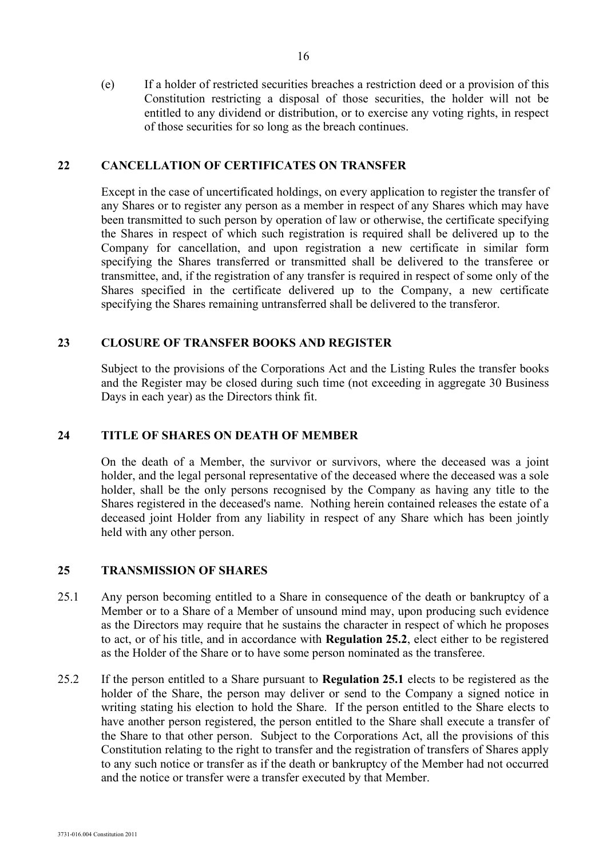(e) If a holder of restricted securities breaches a restriction deed or a provision of this Constitution restricting a disposal of those securities, the holder will not be entitled to any dividend or distribution, or to exercise any voting rights, in respect of those securities for so long as the breach continues.

#### **22 CANCELLATION OF CERTIFICATES ON TRANSFER**

Except in the case of uncertificated holdings, on every application to register the transfer of any Shares or to register any person as a member in respect of any Shares which may have been transmitted to such person by operation of law or otherwise, the certificate specifying the Shares in respect of which such registration is required shall be delivered up to the Company for cancellation, and upon registration a new certificate in similar form specifying the Shares transferred or transmitted shall be delivered to the transferee or transmittee, and, if the registration of any transfer is required in respect of some only of the Shares specified in the certificate delivered up to the Company, a new certificate specifying the Shares remaining untransferred shall be delivered to the transferor.

#### **23 CLOSURE OF TRANSFER BOOKS AND REGISTER**

Subject to the provisions of the Corporations Act and the Listing Rules the transfer books and the Register may be closed during such time (not exceeding in aggregate 30 Business Days in each year) as the Directors think fit.

#### **24 TITLE OF SHARES ON DEATH OF MEMBER**

On the death of a Member, the survivor or survivors, where the deceased was a joint holder, and the legal personal representative of the deceased where the deceased was a sole holder, shall be the only persons recognised by the Company as having any title to the Shares registered in the deceased's name. Nothing herein contained releases the estate of a deceased joint Holder from any liability in respect of any Share which has been jointly held with any other person.

#### **25 TRANSMISSION OF SHARES**

- 25.1 Any person becoming entitled to a Share in consequence of the death or bankruptcy of a Member or to a Share of a Member of unsound mind may, upon producing such evidence as the Directors may require that he sustains the character in respect of which he proposes to act, or of his title, and in accordance with **Regulation 25.2**, elect either to be registered as the Holder of the Share or to have some person nominated as the transferee.
- 25.2 If the person entitled to a Share pursuant to **Regulation 25.1** elects to be registered as the holder of the Share, the person may deliver or send to the Company a signed notice in writing stating his election to hold the Share. If the person entitled to the Share elects to have another person registered, the person entitled to the Share shall execute a transfer of the Share to that other person. Subject to the Corporations Act, all the provisions of this Constitution relating to the right to transfer and the registration of transfers of Shares apply to any such notice or transfer as if the death or bankruptcy of the Member had not occurred and the notice or transfer were a transfer executed by that Member.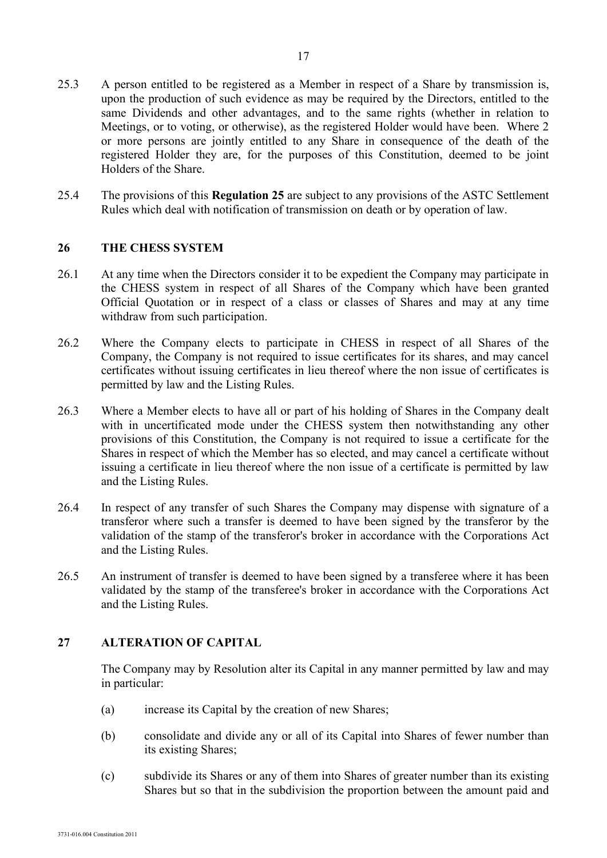- 25.3 A person entitled to be registered as a Member in respect of a Share by transmission is, upon the production of such evidence as may be required by the Directors, entitled to the same Dividends and other advantages, and to the same rights (whether in relation to Meetings, or to voting, or otherwise), as the registered Holder would have been. Where 2 or more persons are jointly entitled to any Share in consequence of the death of the registered Holder they are, for the purposes of this Constitution, deemed to be joint Holders of the Share.
- 25.4 The provisions of this **Regulation 25** are subject to any provisions of the ASTC Settlement Rules which deal with notification of transmission on death or by operation of law.

#### **26 THE CHESS SYSTEM**

- 26.1 At any time when the Directors consider it to be expedient the Company may participate in the CHESS system in respect of all Shares of the Company which have been granted Official Quotation or in respect of a class or classes of Shares and may at any time withdraw from such participation.
- 26.2 Where the Company elects to participate in CHESS in respect of all Shares of the Company, the Company is not required to issue certificates for its shares, and may cancel certificates without issuing certificates in lieu thereof where the non issue of certificates is permitted by law and the Listing Rules.
- 26.3 Where a Member elects to have all or part of his holding of Shares in the Company dealt with in uncertificated mode under the CHESS system then notwithstanding any other provisions of this Constitution, the Company is not required to issue a certificate for the Shares in respect of which the Member has so elected, and may cancel a certificate without issuing a certificate in lieu thereof where the non issue of a certificate is permitted by law and the Listing Rules.
- 26.4 In respect of any transfer of such Shares the Company may dispense with signature of a transferor where such a transfer is deemed to have been signed by the transferor by the validation of the stamp of the transferor's broker in accordance with the Corporations Act and the Listing Rules.
- 26.5 An instrument of transfer is deemed to have been signed by a transferee where it has been validated by the stamp of the transferee's broker in accordance with the Corporations Act and the Listing Rules.

## **27 ALTERATION OF CAPITAL**

The Company may by Resolution alter its Capital in any manner permitted by law and may in particular:

- (a) increase its Capital by the creation of new Shares;
- (b) consolidate and divide any or all of its Capital into Shares of fewer number than its existing Shares;
- (c) subdivide its Shares or any of them into Shares of greater number than its existing Shares but so that in the subdivision the proportion between the amount paid and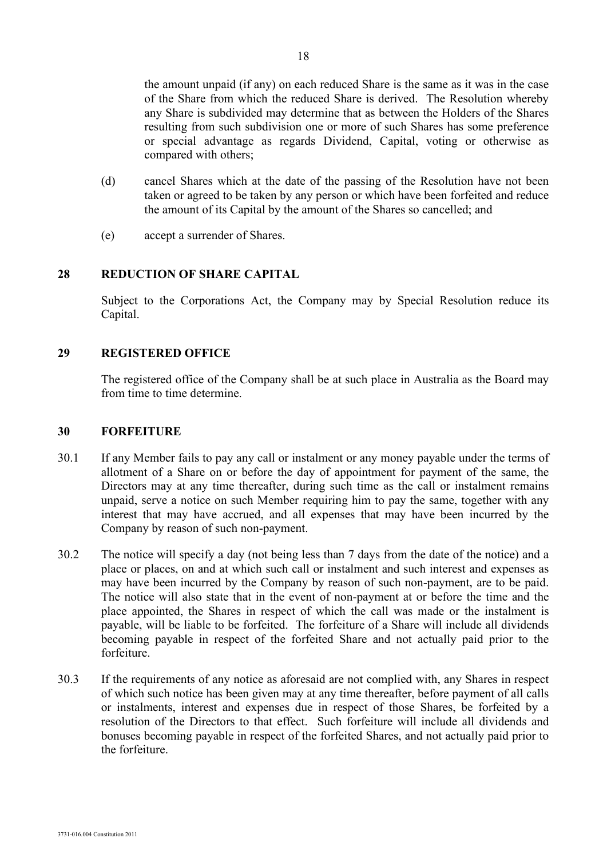the amount unpaid (if any) on each reduced Share is the same as it was in the case of the Share from which the reduced Share is derived. The Resolution whereby any Share is subdivided may determine that as between the Holders of the Shares resulting from such subdivision one or more of such Shares has some preference or special advantage as regards Dividend, Capital, voting or otherwise as compared with others;

- (d) cancel Shares which at the date of the passing of the Resolution have not been taken or agreed to be taken by any person or which have been forfeited and reduce the amount of its Capital by the amount of the Shares so cancelled; and
- (e) accept a surrender of Shares.

## **28 REDUCTION OF SHARE CAPITAL**

Subject to the Corporations Act, the Company may by Special Resolution reduce its Capital.

## **29 REGISTERED OFFICE**

The registered office of the Company shall be at such place in Australia as the Board may from time to time determine.

## **30 FORFEITURE**

- 30.1 If any Member fails to pay any call or instalment or any money payable under the terms of allotment of a Share on or before the day of appointment for payment of the same, the Directors may at any time thereafter, during such time as the call or instalment remains unpaid, serve a notice on such Member requiring him to pay the same, together with any interest that may have accrued, and all expenses that may have been incurred by the Company by reason of such non-payment.
- 30.2 The notice will specify a day (not being less than 7 days from the date of the notice) and a place or places, on and at which such call or instalment and such interest and expenses as may have been incurred by the Company by reason of such non-payment, are to be paid. The notice will also state that in the event of non-payment at or before the time and the place appointed, the Shares in respect of which the call was made or the instalment is payable, will be liable to be forfeited. The forfeiture of a Share will include all dividends becoming payable in respect of the forfeited Share and not actually paid prior to the forfeiture.
- 30.3 If the requirements of any notice as aforesaid are not complied with, any Shares in respect of which such notice has been given may at any time thereafter, before payment of all calls or instalments, interest and expenses due in respect of those Shares, be forfeited by a resolution of the Directors to that effect. Such forfeiture will include all dividends and bonuses becoming payable in respect of the forfeited Shares, and not actually paid prior to the forfeiture.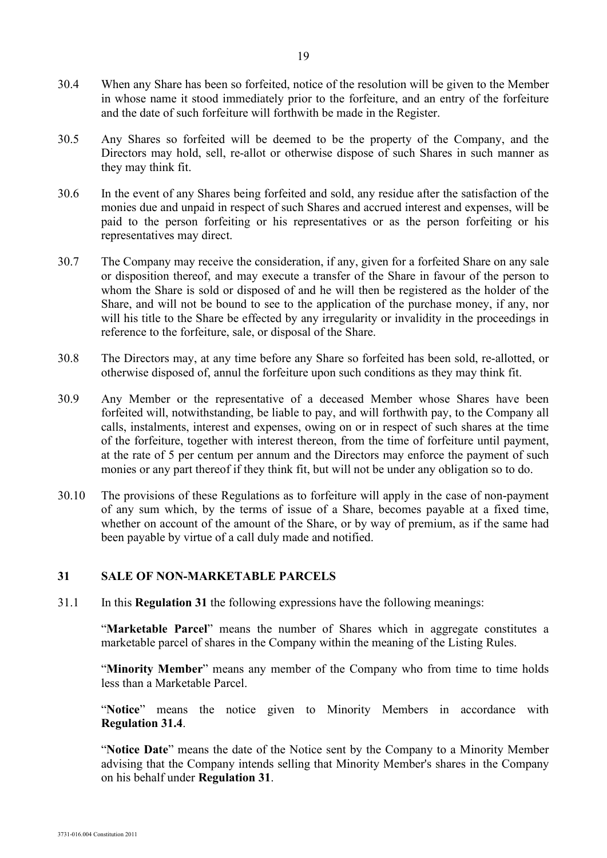- 30.4 When any Share has been so forfeited, notice of the resolution will be given to the Member in whose name it stood immediately prior to the forfeiture, and an entry of the forfeiture and the date of such forfeiture will forthwith be made in the Register.
- 30.5 Any Shares so forfeited will be deemed to be the property of the Company, and the Directors may hold, sell, re-allot or otherwise dispose of such Shares in such manner as they may think fit.
- 30.6 In the event of any Shares being forfeited and sold, any residue after the satisfaction of the monies due and unpaid in respect of such Shares and accrued interest and expenses, will be paid to the person forfeiting or his representatives or as the person forfeiting or his representatives may direct.
- 30.7 The Company may receive the consideration, if any, given for a forfeited Share on any sale or disposition thereof, and may execute a transfer of the Share in favour of the person to whom the Share is sold or disposed of and he will then be registered as the holder of the Share, and will not be bound to see to the application of the purchase money, if any, nor will his title to the Share be effected by any irregularity or invalidity in the proceedings in reference to the forfeiture, sale, or disposal of the Share.
- 30.8 The Directors may, at any time before any Share so forfeited has been sold, re-allotted, or otherwise disposed of, annul the forfeiture upon such conditions as they may think fit.
- 30.9 Any Member or the representative of a deceased Member whose Shares have been forfeited will, notwithstanding, be liable to pay, and will forthwith pay, to the Company all calls, instalments, interest and expenses, owing on or in respect of such shares at the time of the forfeiture, together with interest thereon, from the time of forfeiture until payment, at the rate of 5 per centum per annum and the Directors may enforce the payment of such monies or any part thereof if they think fit, but will not be under any obligation so to do.
- 30.10 The provisions of these Regulations as to forfeiture will apply in the case of non-payment of any sum which, by the terms of issue of a Share, becomes payable at a fixed time, whether on account of the amount of the Share, or by way of premium, as if the same had been payable by virtue of a call duly made and notified.

## **31 SALE OF NON-MARKETABLE PARCELS**

31.1 In this **Regulation 31** the following expressions have the following meanings:

"**Marketable Parcel**" means the number of Shares which in aggregate constitutes a marketable parcel of shares in the Company within the meaning of the Listing Rules.

"Minority Member" means any member of the Company who from time to time holds less than a Marketable Parcel.

"Notice" means the notice given to Minority Members in accordance with **Regulation 31.4**.

"**Notice Date**" means the date of the Notice sent by the Company to a Minority Member advising that the Company intends selling that Minority Member's shares in the Company on his behalf under **Regulation 31**.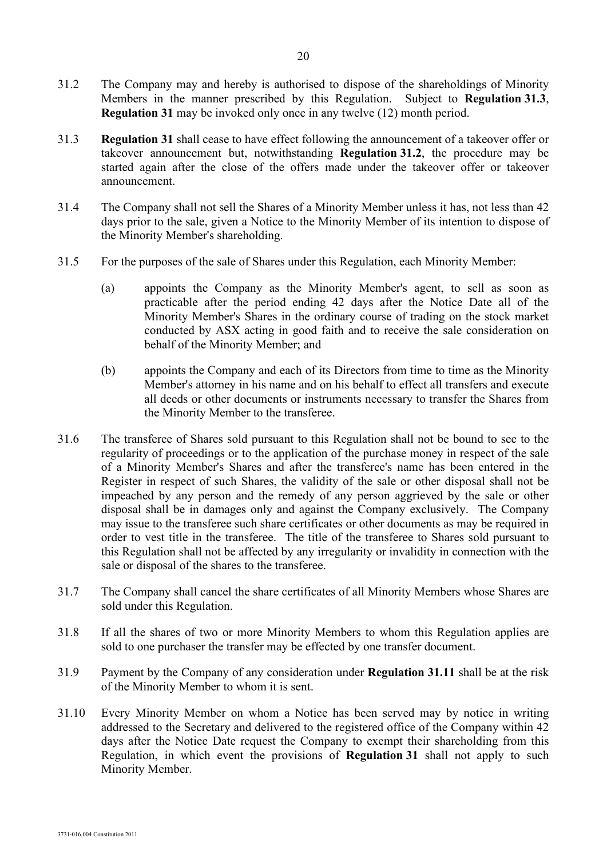- 31.2 The Company may and hereby is authorised to dispose of the shareholdings of Minority Members in the manner prescribed by this Regulation. Subject to **Regulation 31.3**, **Regulation 31** may be invoked only once in any twelve (12) month period.
- 31.3 **Regulation 31** shall cease to have effect following the announcement of a takeover offer or takeover announcement but, notwithstanding **Regulation 31.2**, the procedure may be started again after the close of the offers made under the takeover offer or takeover announcement.
- 31.4 The Company shall not sell the Shares of a Minority Member unless it has, not less than 42 days prior to the sale, given a Notice to the Minority Member of its intention to dispose of the Minority Member's shareholding.
- 31.5 For the purposes of the sale of Shares under this Regulation, each Minority Member:
	- (a) appoints the Company as the Minority Member's agent, to sell as soon as practicable after the period ending 42 days after the Notice Date all of the Minority Member's Shares in the ordinary course of trading on the stock market conducted by ASX acting in good faith and to receive the sale consideration on behalf of the Minority Member; and
	- (b) appoints the Company and each of its Directors from time to time as the Minority Member's attorney in his name and on his behalf to effect all transfers and execute all deeds or other documents or instruments necessary to transfer the Shares from the Minority Member to the transferee.
- 31.6 The transferee of Shares sold pursuant to this Regulation shall not be bound to see to the regularity of proceedings or to the application of the purchase money in respect of the sale of a Minority Member's Shares and after the transferee's name has been entered in the Register in respect of such Shares, the validity of the sale or other disposal shall not be impeached by any person and the remedy of any person aggrieved by the sale or other disposal shall be in damages only and against the Company exclusively. The Company may issue to the transferee such share certificates or other documents as may be required in order to vest title in the transferee. The title of the transferee to Shares sold pursuant to this Regulation shall not be affected by any irregularity or invalidity in connection with the sale or disposal of the shares to the transferee.
- 31.7 The Company shall cancel the share certificates of all Minority Members whose Shares are sold under this Regulation.
- 31.8 If all the shares of two or more Minority Members to whom this Regulation applies are sold to one purchaser the transfer may be effected by one transfer document.
- 31.9 Payment by the Company of any consideration under **Regulation 31.11** shall be at the risk of the Minority Member to whom it is sent.
- 31.10 Every Minority Member on whom a Notice has been served may by notice in writing addressed to the Secretary and delivered to the registered office of the Company within 42 days after the Notice Date request the Company to exempt their shareholding from this Regulation, in which event the provisions of **Regulation 31** shall not apply to such Minority Member.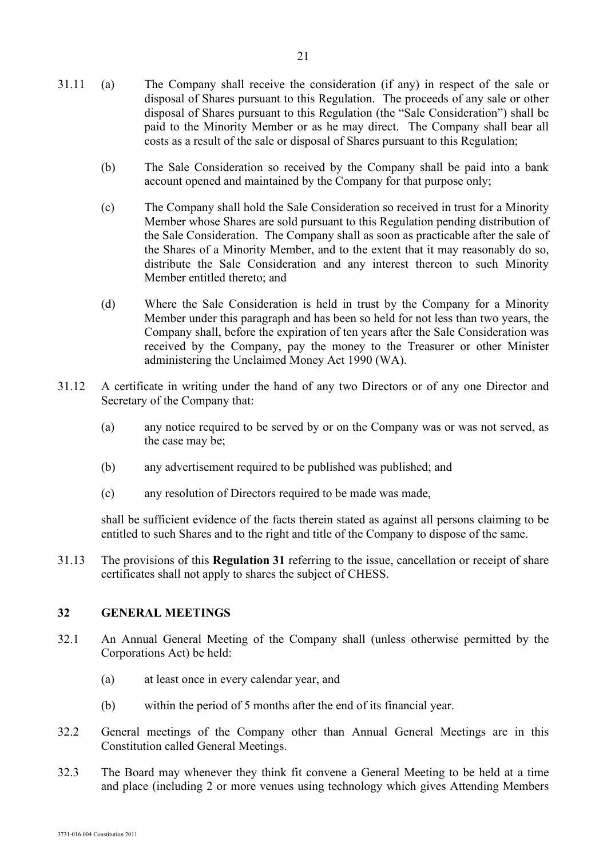- (b) The Sale Consideration so received by the Company shall be paid into a bank account opened and maintained by the Company for that purpose only;
- (c) The Company shall hold the Sale Consideration so received in trust for a Minority Member whose Shares are sold pursuant to this Regulation pending distribution of the Sale Consideration. The Company shall as soon as practicable after the sale of the Shares of a Minority Member, and to the extent that it may reasonably do so, distribute the Sale Consideration and any interest thereon to such Minority Member entitled thereto; and
- (d) Where the Sale Consideration is held in trust by the Company for a Minority Member under this paragraph and has been so held for not less than two years, the Company shall, before the expiration of ten years after the Sale Consideration was received by the Company, pay the money to the Treasurer or other Minister administering the Unclaimed Money Act 1990 (WA).
- 31.12 A certificate in writing under the hand of any two Directors or of any one Director and Secretary of the Company that:
	- (a) any notice required to be served by or on the Company was or was not served, as the case may be;
	- (b) any advertisement required to be published was published; and
	- (c) any resolution of Directors required to be made was made,

shall be sufficient evidence of the facts therein stated as against all persons claiming to be entitled to such Shares and to the right and title of the Company to dispose of the same.

31.13 The provisions of this **Regulation 31** referring to the issue, cancellation or receipt of share certificates shall not apply to shares the subject of CHESS.

## **32 GENERAL MEETINGS**

- 32.1 An Annual General Meeting of the Company shall (unless otherwise permitted by the Corporations Act) be held:
	- (a) at least once in every calendar year, and
	- (b) within the period of 5 months after the end of its financial year.
- 32.2 General meetings of the Company other than Annual General Meetings are in this Constitution called General Meetings.
- 32.3 The Board may whenever they think fit convene a General Meeting to be held at a time and place (including 2 or more venues using technology which gives Attending Members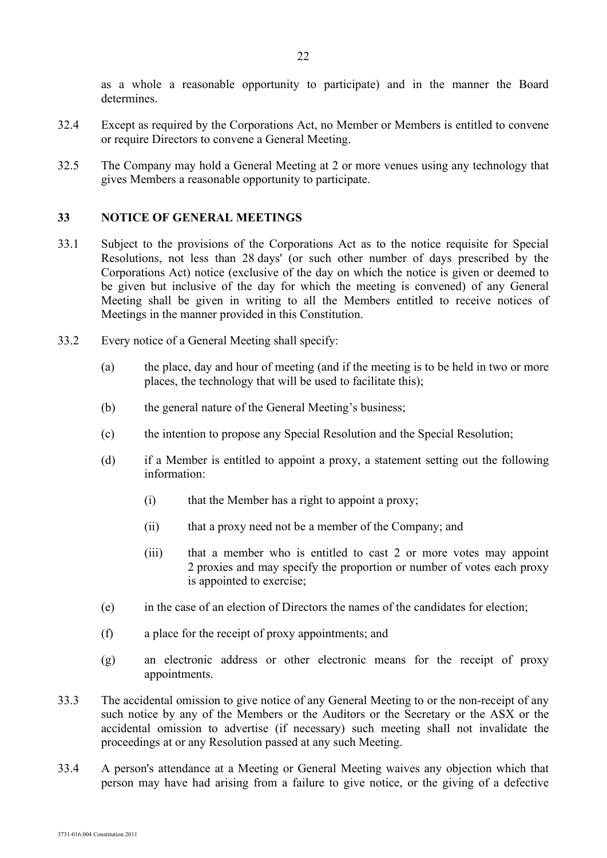as a whole a reasonable opportunity to participate) and in the manner the Board determines.

- 32.4 Except as required by the Corporations Act, no Member or Members is entitled to convene or require Directors to convene a General Meeting.
- 32.5 The Company may hold a General Meeting at 2 or more venues using any technology that gives Members a reasonable opportunity to participate.

#### **33 NOTICE OF GENERAL MEETINGS**

- 33.1 Subject to the provisions of the Corporations Act as to the notice requisite for Special Resolutions, not less than 28 days' (or such other number of days prescribed by the Corporations Act) notice (exclusive of the day on which the notice is given or deemed to be given but inclusive of the day for which the meeting is convened) of any General Meeting shall be given in writing to all the Members entitled to receive notices of Meetings in the manner provided in this Constitution.
- 33.2 Every notice of a General Meeting shall specify:
	- (a) the place, day and hour of meeting (and if the meeting is to be held in two or more places, the technology that will be used to facilitate this);
	- (b) the general nature of the General Meeting's business;
	- (c) the intention to propose any Special Resolution and the Special Resolution;
	- (d) if a Member is entitled to appoint a proxy, a statement setting out the following information:
		- (i) that the Member has a right to appoint a proxy;
		- (ii) that a proxy need not be a member of the Company; and
		- (iii) that a member who is entitled to cast 2 or more votes may appoint 2 proxies and may specify the proportion or number of votes each proxy is appointed to exercise;
	- (e) in the case of an election of Directors the names of the candidates for election;
	- (f) a place for the receipt of proxy appointments; and
	- (g) an electronic address or other electronic means for the receipt of proxy appointments.
- 33.3 The accidental omission to give notice of any General Meeting to or the non-receipt of any such notice by any of the Members or the Auditors or the Secretary or the ASX or the accidental omission to advertise (if necessary) such meeting shall not invalidate the proceedings at or any Resolution passed at any such Meeting.
- 33.4 A person's attendance at a Meeting or General Meeting waives any objection which that person may have had arising from a failure to give notice, or the giving of a defective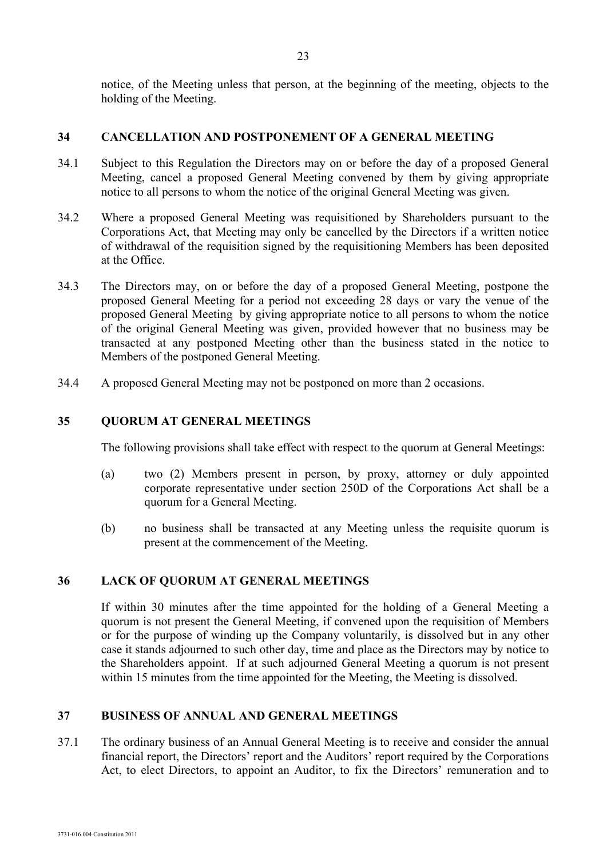notice, of the Meeting unless that person, at the beginning of the meeting, objects to the holding of the Meeting.

## **34 CANCELLATION AND POSTPONEMENT OF A GENERAL MEETING**

- 34.1 Subject to this Regulation the Directors may on or before the day of a proposed General Meeting, cancel a proposed General Meeting convened by them by giving appropriate notice to all persons to whom the notice of the original General Meeting was given.
- 34.2 Where a proposed General Meeting was requisitioned by Shareholders pursuant to the Corporations Act, that Meeting may only be cancelled by the Directors if a written notice of withdrawal of the requisition signed by the requisitioning Members has been deposited at the Office.
- 34.3 The Directors may, on or before the day of a proposed General Meeting, postpone the proposed General Meeting for a period not exceeding 28 days or vary the venue of the proposed General Meeting by giving appropriate notice to all persons to whom the notice of the original General Meeting was given, provided however that no business may be transacted at any postponed Meeting other than the business stated in the notice to Members of the postponed General Meeting.
- 34.4 A proposed General Meeting may not be postponed on more than 2 occasions.

## **35 QUORUM AT GENERAL MEETINGS**

The following provisions shall take effect with respect to the quorum at General Meetings:

- (a) two (2) Members present in person, by proxy, attorney or duly appointed corporate representative under section 250D of the Corporations Act shall be a quorum for a General Meeting.
- (b) no business shall be transacted at any Meeting unless the requisite quorum is present at the commencement of the Meeting.

## **36 LACK OF QUORUM AT GENERAL MEETINGS**

If within 30 minutes after the time appointed for the holding of a General Meeting a quorum is not present the General Meeting, if convened upon the requisition of Members or for the purpose of winding up the Company voluntarily, is dissolved but in any other case it stands adjourned to such other day, time and place as the Directors may by notice to the Shareholders appoint. If at such adjourned General Meeting a quorum is not present within 15 minutes from the time appointed for the Meeting, the Meeting is dissolved.

#### **37 BUSINESS OF ANNUAL AND GENERAL MEETINGS**

37.1 The ordinary business of an Annual General Meeting is to receive and consider the annual financial report, the Directors' report and the Auditors' report required by the Corporations Act, to elect Directors, to appoint an Auditor, to fix the Directors' remuneration and to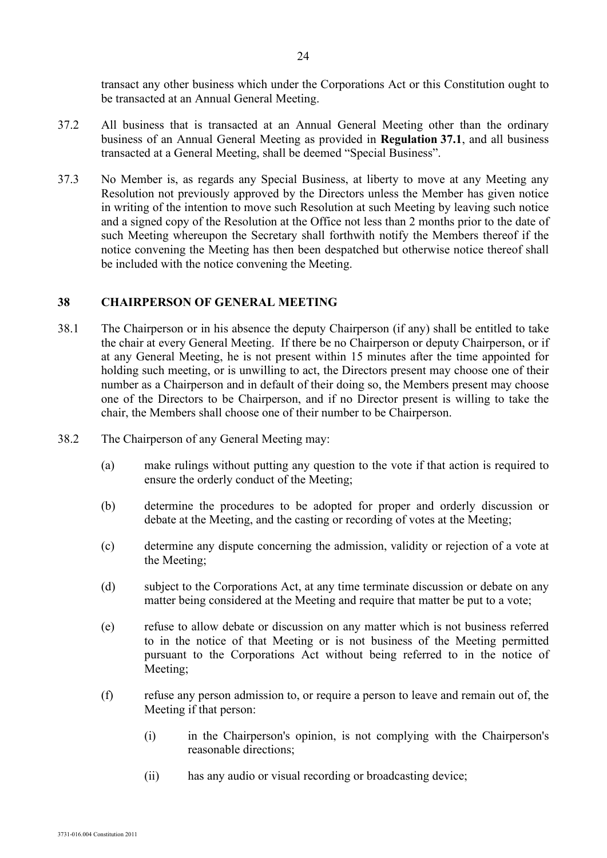transact any other business which under the Corporations Act or this Constitution ought to be transacted at an Annual General Meeting.

- 37.2 All business that is transacted at an Annual General Meeting other than the ordinary business of an Annual General Meeting as provided in **Regulation 37.1**, and all business transacted at a General Meeting, shall be deemed "Special Business".
- 37.3 No Member is, as regards any Special Business, at liberty to move at any Meeting any Resolution not previously approved by the Directors unless the Member has given notice in writing of the intention to move such Resolution at such Meeting by leaving such notice and a signed copy of the Resolution at the Office not less than 2 months prior to the date of such Meeting whereupon the Secretary shall forthwith notify the Members thereof if the notice convening the Meeting has then been despatched but otherwise notice thereof shall be included with the notice convening the Meeting.

#### **38 CHAIRPERSON OF GENERAL MEETING**

- 38.1 The Chairperson or in his absence the deputy Chairperson (if any) shall be entitled to take the chair at every General Meeting. If there be no Chairperson or deputy Chairperson, or if at any General Meeting, he is not present within 15 minutes after the time appointed for holding such meeting, or is unwilling to act, the Directors present may choose one of their number as a Chairperson and in default of their doing so, the Members present may choose one of the Directors to be Chairperson, and if no Director present is willing to take the chair, the Members shall choose one of their number to be Chairperson.
- 38.2 The Chairperson of any General Meeting may:
	- (a) make rulings without putting any question to the vote if that action is required to ensure the orderly conduct of the Meeting;
	- (b) determine the procedures to be adopted for proper and orderly discussion or debate at the Meeting, and the casting or recording of votes at the Meeting;
	- (c) determine any dispute concerning the admission, validity or rejection of a vote at the Meeting;
	- (d) subject to the Corporations Act, at any time terminate discussion or debate on any matter being considered at the Meeting and require that matter be put to a vote;
	- (e) refuse to allow debate or discussion on any matter which is not business referred to in the notice of that Meeting or is not business of the Meeting permitted pursuant to the Corporations Act without being referred to in the notice of Meeting;
	- (f) refuse any person admission to, or require a person to leave and remain out of, the Meeting if that person:
		- (i) in the Chairperson's opinion, is not complying with the Chairperson's reasonable directions;
		- (ii) has any audio or visual recording or broadcasting device;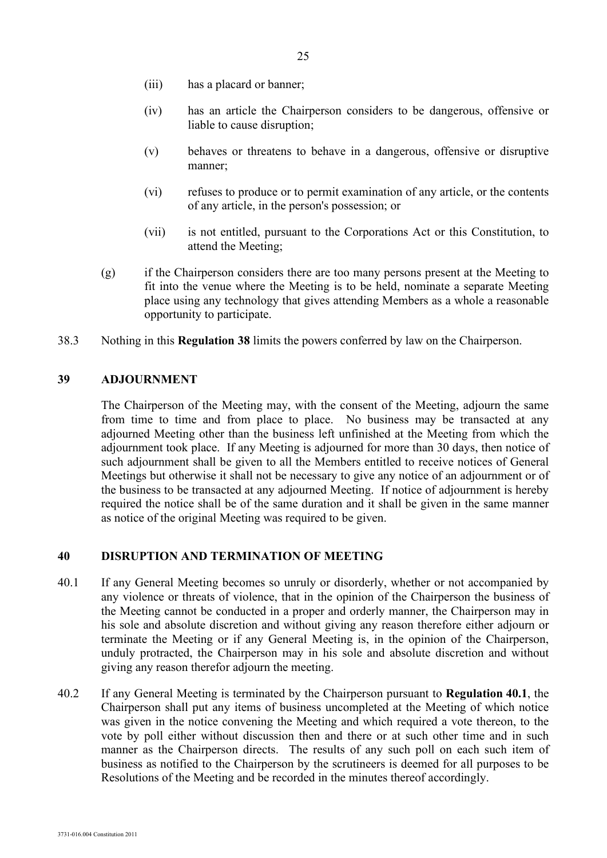- (iii) has a placard or banner;
- (iv) has an article the Chairperson considers to be dangerous, offensive or liable to cause disruption;
- (v) behaves or threatens to behave in a dangerous, offensive or disruptive manner;
- (vi) refuses to produce or to permit examination of any article, or the contents of any article, in the person's possession; or
- (vii) is not entitled, pursuant to the Corporations Act or this Constitution, to attend the Meeting;
- (g) if the Chairperson considers there are too many persons present at the Meeting to fit into the venue where the Meeting is to be held, nominate a separate Meeting place using any technology that gives attending Members as a whole a reasonable opportunity to participate.
- 38.3 Nothing in this **Regulation 38** limits the powers conferred by law on the Chairperson.

#### **39 ADJOURNMENT**

The Chairperson of the Meeting may, with the consent of the Meeting, adjourn the same from time to time and from place to place. No business may be transacted at any adjourned Meeting other than the business left unfinished at the Meeting from which the adjournment took place. If any Meeting is adjourned for more than 30 days, then notice of such adjournment shall be given to all the Members entitled to receive notices of General Meetings but otherwise it shall not be necessary to give any notice of an adjournment or of the business to be transacted at any adjourned Meeting. If notice of adjournment is hereby required the notice shall be of the same duration and it shall be given in the same manner as notice of the original Meeting was required to be given.

#### **40 DISRUPTION AND TERMINATION OF MEETING**

- 40.1 If any General Meeting becomes so unruly or disorderly, whether or not accompanied by any violence or threats of violence, that in the opinion of the Chairperson the business of the Meeting cannot be conducted in a proper and orderly manner, the Chairperson may in his sole and absolute discretion and without giving any reason therefore either adjourn or terminate the Meeting or if any General Meeting is, in the opinion of the Chairperson, unduly protracted, the Chairperson may in his sole and absolute discretion and without giving any reason therefor adjourn the meeting.
- 40.2 If any General Meeting is terminated by the Chairperson pursuant to **Regulation 40.1**, the Chairperson shall put any items of business uncompleted at the Meeting of which notice was given in the notice convening the Meeting and which required a vote thereon, to the vote by poll either without discussion then and there or at such other time and in such manner as the Chairperson directs. The results of any such poll on each such item of business as notified to the Chairperson by the scrutineers is deemed for all purposes to be Resolutions of the Meeting and be recorded in the minutes thereof accordingly.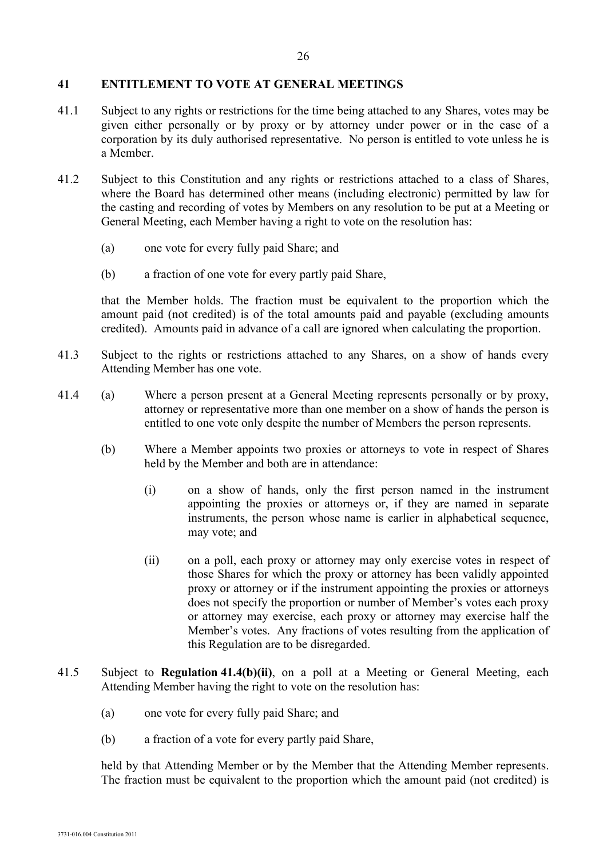#### **41 ENTITLEMENT TO VOTE AT GENERAL MEETINGS**

- 41.1 Subject to any rights or restrictions for the time being attached to any Shares, votes may be given either personally or by proxy or by attorney under power or in the case of a corporation by its duly authorised representative. No person is entitled to vote unless he is a Member.
- 41.2 Subject to this Constitution and any rights or restrictions attached to a class of Shares, where the Board has determined other means (including electronic) permitted by law for the casting and recording of votes by Members on any resolution to be put at a Meeting or General Meeting, each Member having a right to vote on the resolution has:
	- (a) one vote for every fully paid Share; and
	- (b) a fraction of one vote for every partly paid Share,

that the Member holds. The fraction must be equivalent to the proportion which the amount paid (not credited) is of the total amounts paid and payable (excluding amounts credited). Amounts paid in advance of a call are ignored when calculating the proportion.

- 41.3 Subject to the rights or restrictions attached to any Shares, on a show of hands every Attending Member has one vote.
- 41.4 (a) Where a person present at a General Meeting represents personally or by proxy, attorney or representative more than one member on a show of hands the person is entitled to one vote only despite the number of Members the person represents.
	- (b) Where a Member appoints two proxies or attorneys to vote in respect of Shares held by the Member and both are in attendance:
		- (i) on a show of hands, only the first person named in the instrument appointing the proxies or attorneys or, if they are named in separate instruments, the person whose name is earlier in alphabetical sequence, may vote; and
		- (ii) on a poll, each proxy or attorney may only exercise votes in respect of those Shares for which the proxy or attorney has been validly appointed proxy or attorney or if the instrument appointing the proxies or attorneys does not specify the proportion or number of Member's votes each proxy or attorney may exercise, each proxy or attorney may exercise half the Member's votes. Any fractions of votes resulting from the application of this Regulation are to be disregarded.
- 41.5 Subject to **Regulation 41.4(b)(ii)**, on a poll at a Meeting or General Meeting, each Attending Member having the right to vote on the resolution has:
	- (a) one vote for every fully paid Share; and
	- (b) a fraction of a vote for every partly paid Share,

held by that Attending Member or by the Member that the Attending Member represents. The fraction must be equivalent to the proportion which the amount paid (not credited) is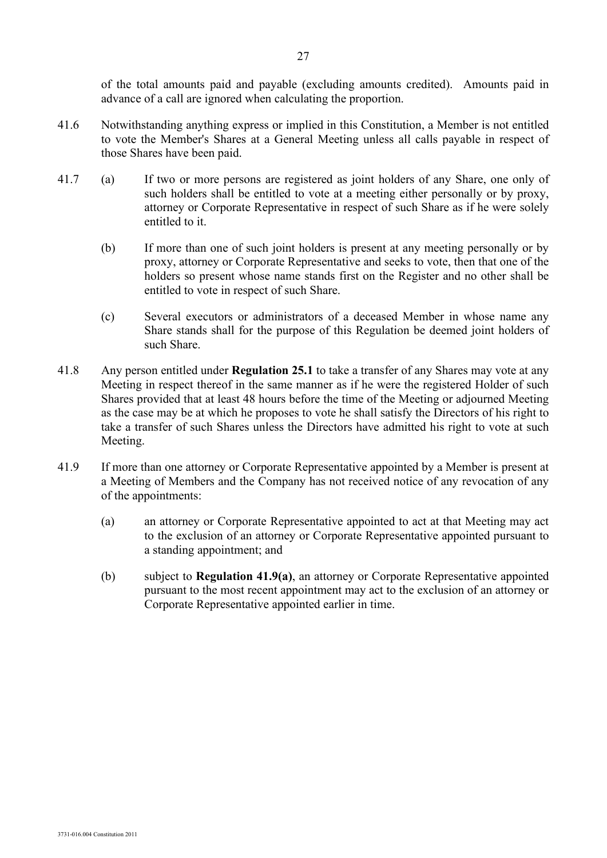of the total amounts paid and payable (excluding amounts credited). Amounts paid in advance of a call are ignored when calculating the proportion.

- 41.6 Notwithstanding anything express or implied in this Constitution, a Member is not entitled to vote the Member's Shares at a General Meeting unless all calls payable in respect of those Shares have been paid.
- 41.7 (a) If two or more persons are registered as joint holders of any Share, one only of such holders shall be entitled to vote at a meeting either personally or by proxy, attorney or Corporate Representative in respect of such Share as if he were solely entitled to it.
	- (b) If more than one of such joint holders is present at any meeting personally or by proxy, attorney or Corporate Representative and seeks to vote, then that one of the holders so present whose name stands first on the Register and no other shall be entitled to vote in respect of such Share.
	- (c) Several executors or administrators of a deceased Member in whose name any Share stands shall for the purpose of this Regulation be deemed joint holders of such Share.
- 41.8 Any person entitled under **Regulation 25.1** to take a transfer of any Shares may vote at any Meeting in respect thereof in the same manner as if he were the registered Holder of such Shares provided that at least 48 hours before the time of the Meeting or adjourned Meeting as the case may be at which he proposes to vote he shall satisfy the Directors of his right to take a transfer of such Shares unless the Directors have admitted his right to vote at such Meeting.
- <span id="page-27-1"></span><span id="page-27-0"></span>41.9 If more than one attorney or Corporate Representative appointed by a Member is present at a Meeting of Members and the Company has not received notice of any revocation of any of the appointments:
	- (a) an attorney or Corporate Representative appointed to act at that Meeting may act to the exclusion of an attorney or Corporate Representative appointed pursuant to a standing appointment; and
	- (b) subject to **Regulation [41.9](#page-27-0)[\(a\)](#page-27-1)**, an attorney or Corporate Representative appointed pursuant to the most recent appointment may act to the exclusion of an attorney or Corporate Representative appointed earlier in time.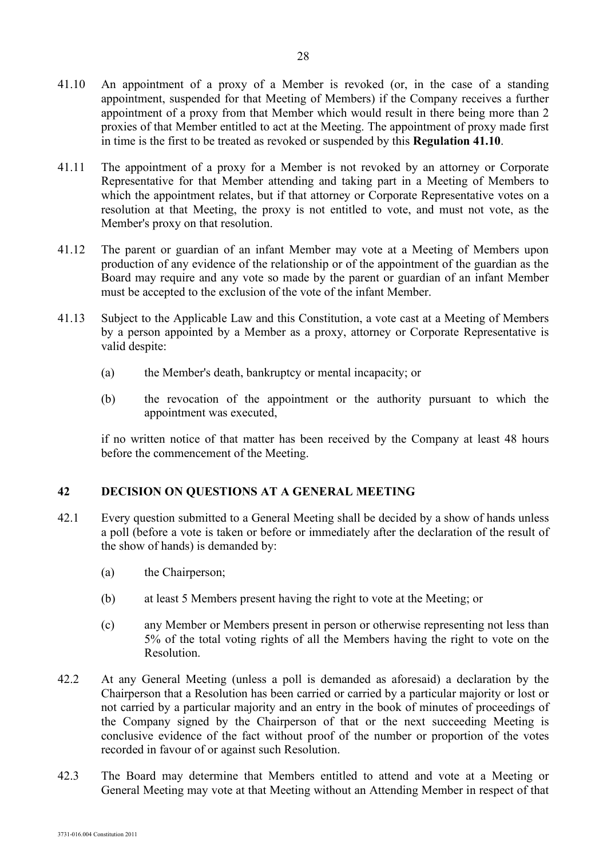- appointment, suspended for that Meeting of Members) if the Company receives a further appointment of a proxy from that Member which would result in there being more than 2 proxies of that Member entitled to act at the Meeting. The appointment of proxy made first in time is the first to be treated as revoked or suspended by this **Regulation 41.10**.
- 41.11 The appointment of a proxy for a Member is not revoked by an attorney or Corporate Representative for that Member attending and taking part in a Meeting of Members to which the appointment relates, but if that attorney or Corporate Representative votes on a resolution at that Meeting, the proxy is not entitled to vote, and must not vote, as the Member's proxy on that resolution.
- 41.12 The parent or guardian of an infant Member may vote at a Meeting of Members upon production of any evidence of the relationship or of the appointment of the guardian as the Board may require and any vote so made by the parent or guardian of an infant Member must be accepted to the exclusion of the vote of the infant Member.
- 41.13 Subject to the Applicable Law and this Constitution, a vote cast at a Meeting of Members by a person appointed by a Member as a proxy, attorney or Corporate Representative is valid despite:
	- (a) the Member's death, bankruptcy or mental incapacity; or
	- (b) the revocation of the appointment or the authority pursuant to which the appointment was executed,

if no written notice of that matter has been received by the Company at least 48 hours before the commencement of the Meeting.

# <span id="page-28-0"></span>**42 DECISION ON QUESTIONS AT A GENERAL MEETING**

- 42.1 Every question submitted to a General Meeting shall be decided by a show of hands unless a poll (before a vote is taken or before or immediately after the declaration of the result of the show of hands) is demanded by:
	- (a) the Chairperson;
	- (b) at least 5 Members present having the right to vote at the Meeting; or
	- (c) any Member or Members present in person or otherwise representing not less than 5% of the total voting rights of all the Members having the right to vote on the Resolution.
- 42.2 At any General Meeting (unless a poll is demanded as aforesaid) a declaration by the Chairperson that a Resolution has been carried or carried by a particular majority or lost or not carried by a particular majority and an entry in the book of minutes of proceedings of the Company signed by the Chairperson of that or the next succeeding Meeting is conclusive evidence of the fact without proof of the number or proportion of the votes recorded in favour of or against such Resolution.
- 42.3 The Board may determine that Members entitled to attend and vote at a Meeting or General Meeting may vote at that Meeting without an Attending Member in respect of that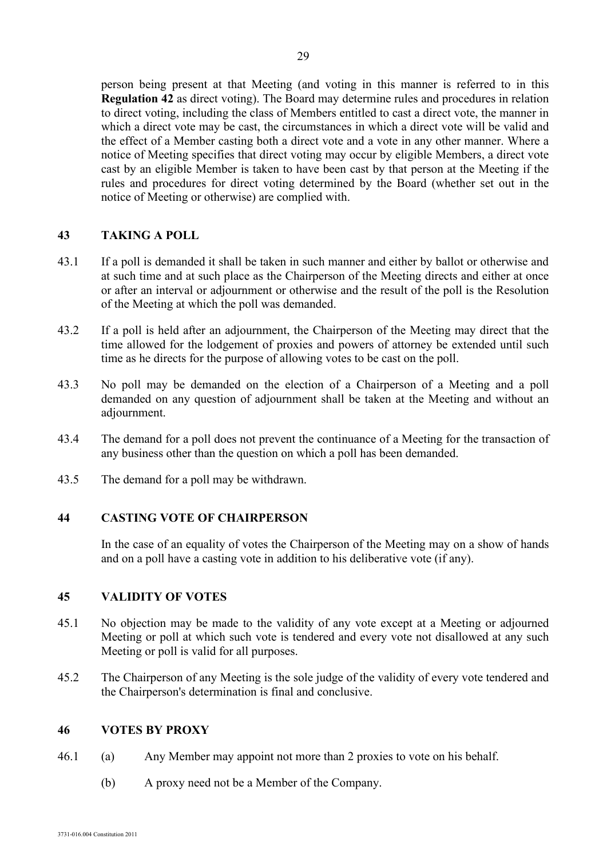person being present at that Meeting (and voting in this manner is referred to in this **Regulation [42](#page-28-0)** as direct voting). The Board may determine rules and procedures in relation to direct voting, including the class of Members entitled to cast a direct vote, the manner in which a direct vote may be cast, the circumstances in which a direct vote will be valid and the effect of a Member casting both a direct vote and a vote in any other manner. Where a notice of Meeting specifies that direct voting may occur by eligible Members, a direct vote cast by an eligible Member is taken to have been cast by that person at the Meeting if the rules and procedures for direct voting determined by the Board (whether set out in the notice of Meeting or otherwise) are complied with.

## **43 TAKING A POLL**

- 43.1 If a poll is demanded it shall be taken in such manner and either by ballot or otherwise and at such time and at such place as the Chairperson of the Meeting directs and either at once or after an interval or adjournment or otherwise and the result of the poll is the Resolution of the Meeting at which the poll was demanded.
- 43.2 If a poll is held after an adjournment, the Chairperson of the Meeting may direct that the time allowed for the lodgement of proxies and powers of attorney be extended until such time as he directs for the purpose of allowing votes to be cast on the poll.
- 43.3 No poll may be demanded on the election of a Chairperson of a Meeting and a poll demanded on any question of adjournment shall be taken at the Meeting and without an adjournment.
- 43.4 The demand for a poll does not prevent the continuance of a Meeting for the transaction of any business other than the question on which a poll has been demanded.
- 43.5 The demand for a poll may be withdrawn.

#### **44 CASTING VOTE OF CHAIRPERSON**

In the case of an equality of votes the Chairperson of the Meeting may on a show of hands and on a poll have a casting vote in addition to his deliberative vote (if any).

#### **45 VALIDITY OF VOTES**

- 45.1 No objection may be made to the validity of any vote except at a Meeting or adjourned Meeting or poll at which such vote is tendered and every vote not disallowed at any such Meeting or poll is valid for all purposes.
- 45.2 The Chairperson of any Meeting is the sole judge of the validity of every vote tendered and the Chairperson's determination is final and conclusive.

#### **46 VOTES BY PROXY**

- 46.1 (a) Any Member may appoint not more than 2 proxies to vote on his behalf.
	- (b) A proxy need not be a Member of the Company.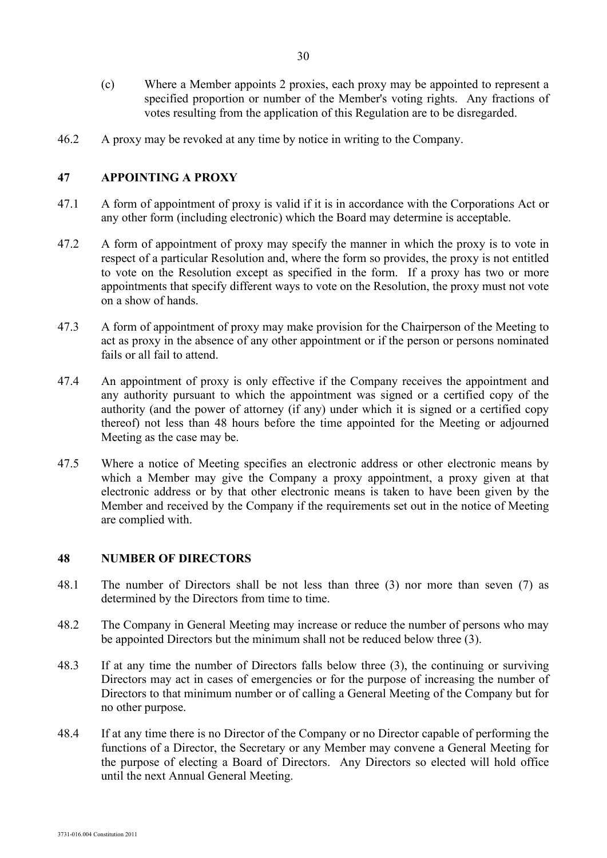- (c) Where a Member appoints 2 proxies, each proxy may be appointed to represent a specified proportion or number of the Member's voting rights. Any fractions of votes resulting from the application of this Regulation are to be disregarded.
- 46.2 A proxy may be revoked at any time by notice in writing to the Company.

## **47 APPOINTING A PROXY**

- 47.1 A form of appointment of proxy is valid if it is in accordance with the Corporations Act or any other form (including electronic) which the Board may determine is acceptable.
- 47.2 A form of appointment of proxy may specify the manner in which the proxy is to vote in respect of a particular Resolution and, where the form so provides, the proxy is not entitled to vote on the Resolution except as specified in the form. If a proxy has two or more appointments that specify different ways to vote on the Resolution, the proxy must not vote on a show of hands.
- 47.3 A form of appointment of proxy may make provision for the Chairperson of the Meeting to act as proxy in the absence of any other appointment or if the person or persons nominated fails or all fail to attend.
- 47.4 An appointment of proxy is only effective if the Company receives the appointment and any authority pursuant to which the appointment was signed or a certified copy of the authority (and the power of attorney (if any) under which it is signed or a certified copy thereof) not less than 48 hours before the time appointed for the Meeting or adjourned Meeting as the case may be.
- 47.5 Where a notice of Meeting specifies an electronic address or other electronic means by which a Member may give the Company a proxy appointment, a proxy given at that electronic address or by that other electronic means is taken to have been given by the Member and received by the Company if the requirements set out in the notice of Meeting are complied with.

#### **48 NUMBER OF DIRECTORS**

- 48.1 The number of Directors shall be not less than three (3) nor more than seven (7) as determined by the Directors from time to time.
- 48.2 The Company in General Meeting may increase or reduce the number of persons who may be appointed Directors but the minimum shall not be reduced below three (3).
- 48.3 If at any time the number of Directors falls below three (3), the continuing or surviving Directors may act in cases of emergencies or for the purpose of increasing the number of Directors to that minimum number or of calling a General Meeting of the Company but for no other purpose.
- 48.4 If at any time there is no Director of the Company or no Director capable of performing the functions of a Director, the Secretary or any Member may convene a General Meeting for the purpose of electing a Board of Directors. Any Directors so elected will hold office until the next Annual General Meeting.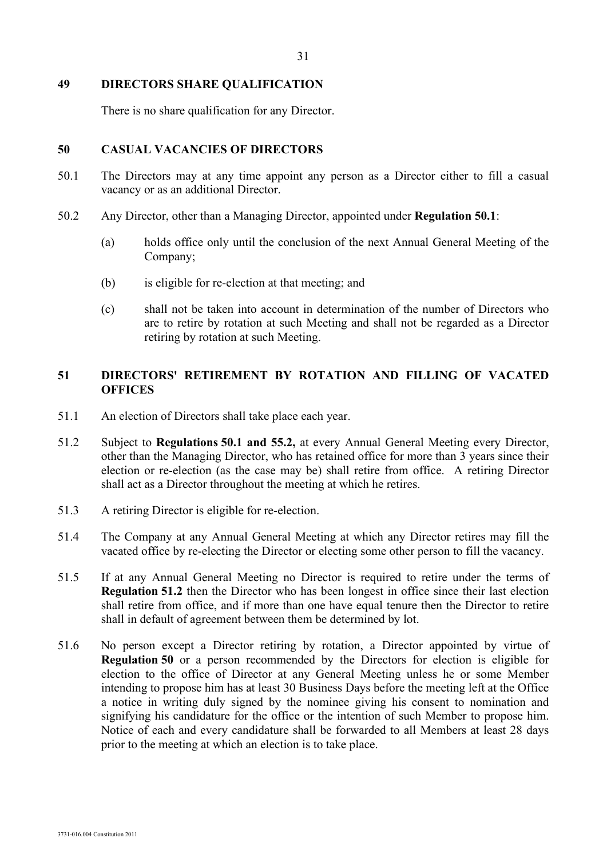#### **49 DIRECTORS SHARE QUALIFICATION**

There is no share qualification for any Director.

#### **50 CASUAL VACANCIES OF DIRECTORS**

- 50.1 The Directors may at any time appoint any person as a Director either to fill a casual vacancy or as an additional Director.
- 50.2 Any Director, other than a Managing Director, appointed under **Regulation 50.1**:
	- (a) holds office only until the conclusion of the next Annual General Meeting of the Company;
	- (b) is eligible for re-election at that meeting; and
	- (c) shall not be taken into account in determination of the number of Directors who are to retire by rotation at such Meeting and shall not be regarded as a Director retiring by rotation at such Meeting.

## **51 DIRECTORS' RETIREMENT BY ROTATION AND FILLING OF VACATED OFFICES**

- 51.1 An election of Directors shall take place each year.
- <span id="page-31-0"></span>51.2 Subject to **Regulations 50.1 and 55.2,** at every Annual General Meeting every Director, other than the Managing Director, who has retained office for more than 3 years since their election or re-election (as the case may be) shall retire from office. A retiring Director shall act as a Director throughout the meeting at which he retires.
- 51.3 A retiring Director is eligible for re-election.
- 51.4 The Company at any Annual General Meeting at which any Director retires may fill the vacated office by re-electing the Director or electing some other person to fill the vacancy.
- 51.5 If at any Annual General Meeting no Director is required to retire under the terms of **Regulation [51.2](#page-31-0)** then the Director who has been longest in office since their last election shall retire from office, and if more than one have equal tenure then the Director to retire shall in default of agreement between them be determined by lot.
- 51.6 No person except a Director retiring by rotation, a Director appointed by virtue of **Regulation 50** or a person recommended by the Directors for election is eligible for election to the office of Director at any General Meeting unless he or some Member intending to propose him has at least 30 Business Days before the meeting left at the Office a notice in writing duly signed by the nominee giving his consent to nomination and signifying his candidature for the office or the intention of such Member to propose him. Notice of each and every candidature shall be forwarded to all Members at least 28 days prior to the meeting at which an election is to take place.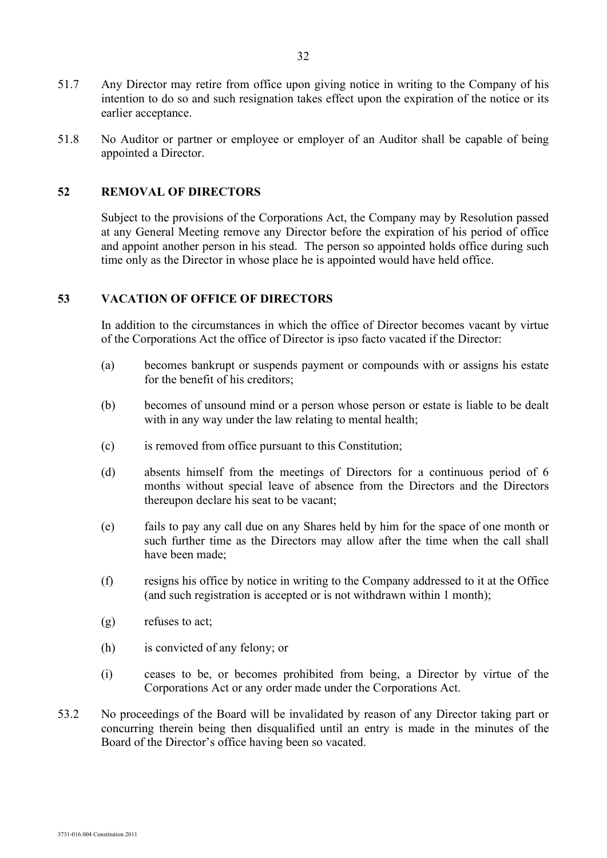- 51.7 Any Director may retire from office upon giving notice in writing to the Company of his intention to do so and such resignation takes effect upon the expiration of the notice or its earlier acceptance.
- 51.8 No Auditor or partner or employee or employer of an Auditor shall be capable of being appointed a Director.

## **52 REMOVAL OF DIRECTORS**

Subject to the provisions of the Corporations Act, the Company may by Resolution passed at any General Meeting remove any Director before the expiration of his period of office and appoint another person in his stead. The person so appointed holds office during such time only as the Director in whose place he is appointed would have held office.

## **53 VACATION OF OFFICE OF DIRECTORS**

In addition to the circumstances in which the office of Director becomes vacant by virtue of the Corporations Act the office of Director is ipso facto vacated if the Director:

- (a) becomes bankrupt or suspends payment or compounds with or assigns his estate for the benefit of his creditors;
- (b) becomes of unsound mind or a person whose person or estate is liable to be dealt with in any way under the law relating to mental health;
- (c) is removed from office pursuant to this Constitution;
- (d) absents himself from the meetings of Directors for a continuous period of 6 months without special leave of absence from the Directors and the Directors thereupon declare his seat to be vacant;
- (e) fails to pay any call due on any Shares held by him for the space of one month or such further time as the Directors may allow after the time when the call shall have been made;
- (f) resigns his office by notice in writing to the Company addressed to it at the Office (and such registration is accepted or is not withdrawn within 1 month);
- (g) refuses to act;
- (h) is convicted of any felony; or
- (i) ceases to be, or becomes prohibited from being, a Director by virtue of the Corporations Act or any order made under the Corporations Act.
- 53.2 No proceedings of the Board will be invalidated by reason of any Director taking part or concurring therein being then disqualified until an entry is made in the minutes of the Board of the Director's office having been so vacated.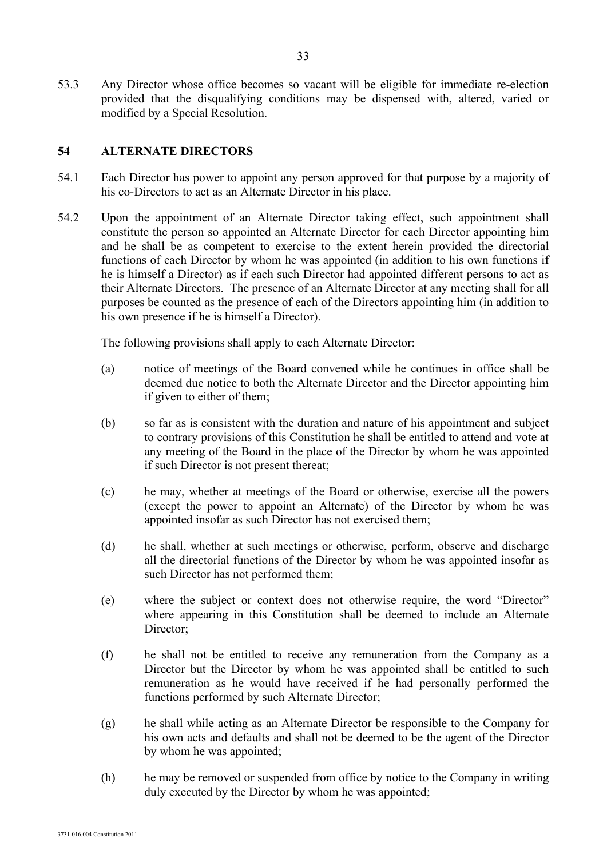53.3 Any Director whose office becomes so vacant will be eligible for immediate re-election provided that the disqualifying conditions may be dispensed with, altered, varied or modified by a Special Resolution.

## **54 ALTERNATE DIRECTORS**

- 54.1 Each Director has power to appoint any person approved for that purpose by a majority of his co-Directors to act as an Alternate Director in his place.
- 54.2 Upon the appointment of an Alternate Director taking effect, such appointment shall constitute the person so appointed an Alternate Director for each Director appointing him and he shall be as competent to exercise to the extent herein provided the directorial functions of each Director by whom he was appointed (in addition to his own functions if he is himself a Director) as if each such Director had appointed different persons to act as their Alternate Directors. The presence of an Alternate Director at any meeting shall for all purposes be counted as the presence of each of the Directors appointing him (in addition to his own presence if he is himself a Director).

The following provisions shall apply to each Alternate Director:

- (a) notice of meetings of the Board convened while he continues in office shall be deemed due notice to both the Alternate Director and the Director appointing him if given to either of them;
- (b) so far as is consistent with the duration and nature of his appointment and subject to contrary provisions of this Constitution he shall be entitled to attend and vote at any meeting of the Board in the place of the Director by whom he was appointed if such Director is not present thereat;
- (c) he may, whether at meetings of the Board or otherwise, exercise all the powers (except the power to appoint an Alternate) of the Director by whom he was appointed insofar as such Director has not exercised them;
- (d) he shall, whether at such meetings or otherwise, perform, observe and discharge all the directorial functions of the Director by whom he was appointed insofar as such Director has not performed them;
- (e) where the subject or context does not otherwise require, the word "Director" where appearing in this Constitution shall be deemed to include an Alternate Director;
- (f) he shall not be entitled to receive any remuneration from the Company as a Director but the Director by whom he was appointed shall be entitled to such remuneration as he would have received if he had personally performed the functions performed by such Alternate Director;
- (g) he shall while acting as an Alternate Director be responsible to the Company for his own acts and defaults and shall not be deemed to be the agent of the Director by whom he was appointed;
- (h) he may be removed or suspended from office by notice to the Company in writing duly executed by the Director by whom he was appointed;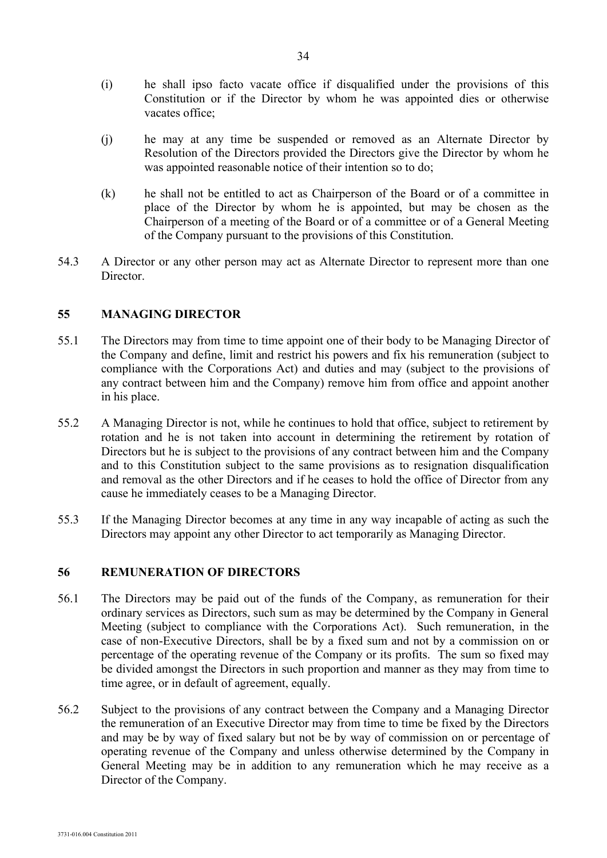- (i) he shall ipso facto vacate office if disqualified under the provisions of this Constitution or if the Director by whom he was appointed dies or otherwise vacates office;
- (j) he may at any time be suspended or removed as an Alternate Director by Resolution of the Directors provided the Directors give the Director by whom he was appointed reasonable notice of their intention so to do;
- (k) he shall not be entitled to act as Chairperson of the Board or of a committee in place of the Director by whom he is appointed, but may be chosen as the Chairperson of a meeting of the Board or of a committee or of a General Meeting of the Company pursuant to the provisions of this Constitution.
- 54.3 A Director or any other person may act as Alternate Director to represent more than one **Director**

#### **55 MANAGING DIRECTOR**

- 55.1 The Directors may from time to time appoint one of their body to be Managing Director of the Company and define, limit and restrict his powers and fix his remuneration (subject to compliance with the Corporations Act) and duties and may (subject to the provisions of any contract between him and the Company) remove him from office and appoint another in his place.
- 55.2 A Managing Director is not, while he continues to hold that office, subject to retirement by rotation and he is not taken into account in determining the retirement by rotation of Directors but he is subject to the provisions of any contract between him and the Company and to this Constitution subject to the same provisions as to resignation disqualification and removal as the other Directors and if he ceases to hold the office of Director from any cause he immediately ceases to be a Managing Director.
- 55.3 If the Managing Director becomes at any time in any way incapable of acting as such the Directors may appoint any other Director to act temporarily as Managing Director.

#### **56 REMUNERATION OF DIRECTORS**

- 56.1 The Directors may be paid out of the funds of the Company, as remuneration for their ordinary services as Directors, such sum as may be determined by the Company in General Meeting (subject to compliance with the Corporations Act). Such remuneration, in the case of non-Executive Directors, shall be by a fixed sum and not by a commission on or percentage of the operating revenue of the Company or its profits. The sum so fixed may be divided amongst the Directors in such proportion and manner as they may from time to time agree, or in default of agreement, equally.
- 56.2 Subject to the provisions of any contract between the Company and a Managing Director the remuneration of an Executive Director may from time to time be fixed by the Directors and may be by way of fixed salary but not be by way of commission on or percentage of operating revenue of the Company and unless otherwise determined by the Company in General Meeting may be in addition to any remuneration which he may receive as a Director of the Company.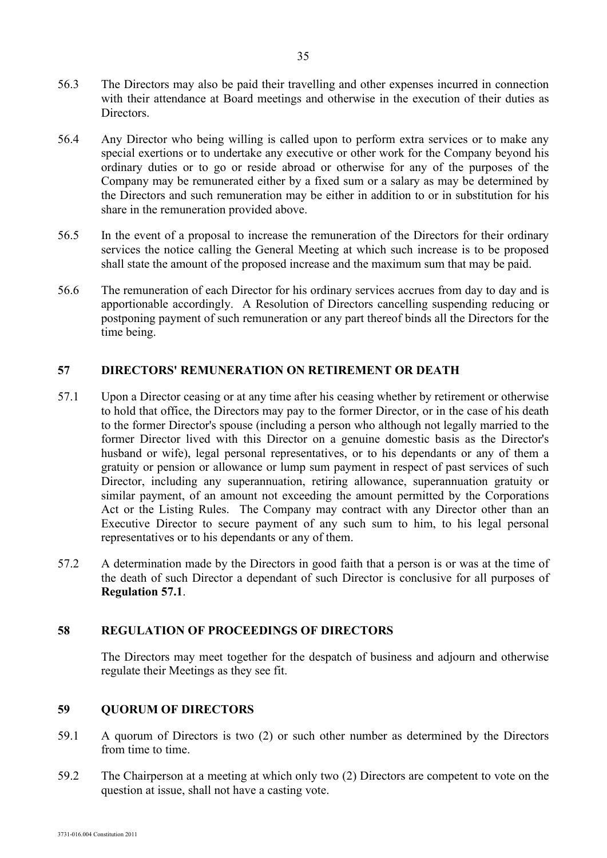- 56.3 The Directors may also be paid their travelling and other expenses incurred in connection with their attendance at Board meetings and otherwise in the execution of their duties as Directors.
- 56.4 Any Director who being willing is called upon to perform extra services or to make any special exertions or to undertake any executive or other work for the Company beyond his ordinary duties or to go or reside abroad or otherwise for any of the purposes of the Company may be remunerated either by a fixed sum or a salary as may be determined by the Directors and such remuneration may be either in addition to or in substitution for his share in the remuneration provided above.
- 56.5 In the event of a proposal to increase the remuneration of the Directors for their ordinary services the notice calling the General Meeting at which such increase is to be proposed shall state the amount of the proposed increase and the maximum sum that may be paid.
- 56.6 The remuneration of each Director for his ordinary services accrues from day to day and is apportionable accordingly. A Resolution of Directors cancelling suspending reducing or postponing payment of such remuneration or any part thereof binds all the Directors for the time being.

## **57 DIRECTORS' REMUNERATION ON RETIREMENT OR DEATH**

- 57.1 Upon a Director ceasing or at any time after his ceasing whether by retirement or otherwise to hold that office, the Directors may pay to the former Director, or in the case of his death to the former Director's spouse (including a person who although not legally married to the former Director lived with this Director on a genuine domestic basis as the Director's husband or wife), legal personal representatives, or to his dependants or any of them a gratuity or pension or allowance or lump sum payment in respect of past services of such Director, including any superannuation, retiring allowance, superannuation gratuity or similar payment, of an amount not exceeding the amount permitted by the Corporations Act or the Listing Rules. The Company may contract with any Director other than an Executive Director to secure payment of any such sum to him, to his legal personal representatives or to his dependants or any of them.
- 57.2 A determination made by the Directors in good faith that a person is or was at the time of the death of such Director a dependant of such Director is conclusive for all purposes of **Regulation 57.1**.

## **58 REGULATION OF PROCEEDINGS OF DIRECTORS**

The Directors may meet together for the despatch of business and adjourn and otherwise regulate their Meetings as they see fit.

## **59 QUORUM OF DIRECTORS**

- 59.1 A quorum of Directors is two (2) or such other number as determined by the Directors from time to time.
- 59.2 The Chairperson at a meeting at which only two (2) Directors are competent to vote on the question at issue, shall not have a casting vote.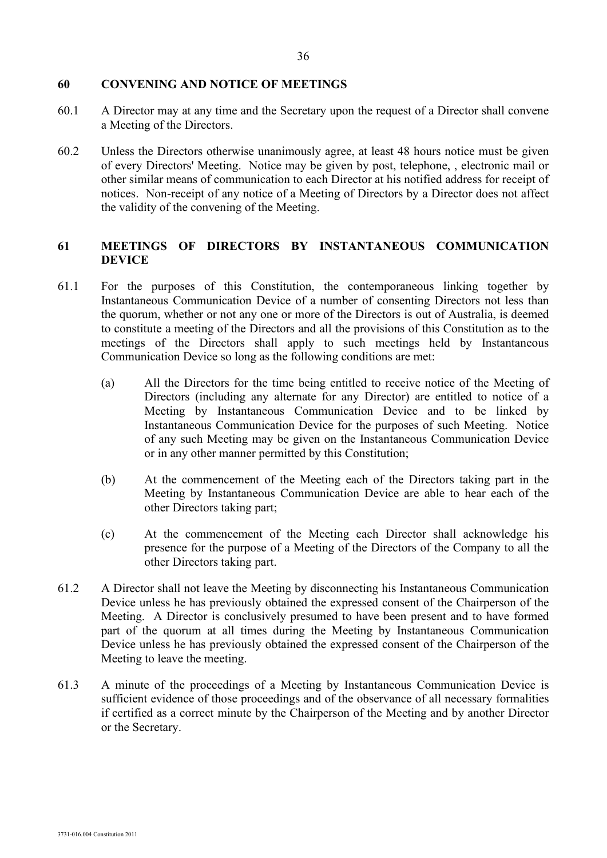#### **60 CONVENING AND NOTICE OF MEETINGS**

- 60.1 A Director may at any time and the Secretary upon the request of a Director shall convene a Meeting of the Directors.
- 60.2 Unless the Directors otherwise unanimously agree, at least 48 hours notice must be given of every Directors' Meeting. Notice may be given by post, telephone, , electronic mail or other similar means of communication to each Director at his notified address for receipt of notices. Non-receipt of any notice of a Meeting of Directors by a Director does not affect the validity of the convening of the Meeting.

## **61 MEETINGS OF DIRECTORS BY INSTANTANEOUS COMMUNICATION DEVICE**

- 61.1 For the purposes of this Constitution, the contemporaneous linking together by Instantaneous Communication Device of a number of consenting Directors not less than the quorum, whether or not any one or more of the Directors is out of Australia, is deemed to constitute a meeting of the Directors and all the provisions of this Constitution as to the meetings of the Directors shall apply to such meetings held by Instantaneous Communication Device so long as the following conditions are met:
	- (a) All the Directors for the time being entitled to receive notice of the Meeting of Directors (including any alternate for any Director) are entitled to notice of a Meeting by Instantaneous Communication Device and to be linked by Instantaneous Communication Device for the purposes of such Meeting. Notice of any such Meeting may be given on the Instantaneous Communication Device or in any other manner permitted by this Constitution;
	- (b) At the commencement of the Meeting each of the Directors taking part in the Meeting by Instantaneous Communication Device are able to hear each of the other Directors taking part;
	- (c) At the commencement of the Meeting each Director shall acknowledge his presence for the purpose of a Meeting of the Directors of the Company to all the other Directors taking part.
- 61.2 A Director shall not leave the Meeting by disconnecting his Instantaneous Communication Device unless he has previously obtained the expressed consent of the Chairperson of the Meeting. A Director is conclusively presumed to have been present and to have formed part of the quorum at all times during the Meeting by Instantaneous Communication Device unless he has previously obtained the expressed consent of the Chairperson of the Meeting to leave the meeting.
- 61.3 A minute of the proceedings of a Meeting by Instantaneous Communication Device is sufficient evidence of those proceedings and of the observance of all necessary formalities if certified as a correct minute by the Chairperson of the Meeting and by another Director or the Secretary.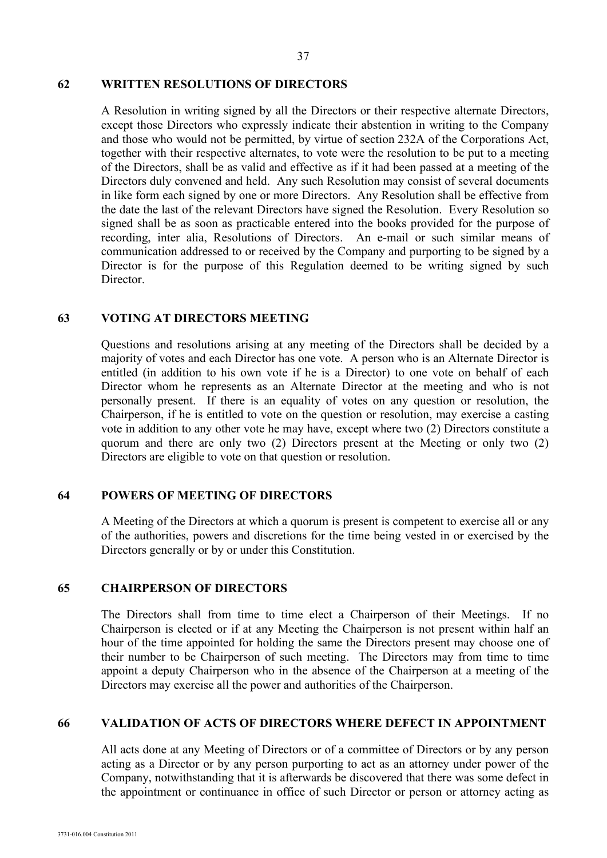#### 37

#### **62 WRITTEN RESOLUTIONS OF DIRECTORS**

A Resolution in writing signed by all the Directors or their respective alternate Directors, except those Directors who expressly indicate their abstention in writing to the Company and those who would not be permitted, by virtue of section 232A of the Corporations Act, together with their respective alternates, to vote were the resolution to be put to a meeting of the Directors, shall be as valid and effective as if it had been passed at a meeting of the Directors duly convened and held. Any such Resolution may consist of several documents in like form each signed by one or more Directors. Any Resolution shall be effective from the date the last of the relevant Directors have signed the Resolution. Every Resolution so signed shall be as soon as practicable entered into the books provided for the purpose of recording, inter alia, Resolutions of Directors. An e-mail or such similar means of communication addressed to or received by the Company and purporting to be signed by a Director is for the purpose of this Regulation deemed to be writing signed by such Director.

#### **63 VOTING AT DIRECTORS MEETING**

Questions and resolutions arising at any meeting of the Directors shall be decided by a majority of votes and each Director has one vote. A person who is an Alternate Director is entitled (in addition to his own vote if he is a Director) to one vote on behalf of each Director whom he represents as an Alternate Director at the meeting and who is not personally present. If there is an equality of votes on any question or resolution, the Chairperson, if he is entitled to vote on the question or resolution, may exercise a casting vote in addition to any other vote he may have, except where two (2) Directors constitute a quorum and there are only two (2) Directors present at the Meeting or only two (2) Directors are eligible to vote on that question or resolution.

#### **64 POWERS OF MEETING OF DIRECTORS**

A Meeting of the Directors at which a quorum is present is competent to exercise all or any of the authorities, powers and discretions for the time being vested in or exercised by the Directors generally or by or under this Constitution.

#### **65 CHAIRPERSON OF DIRECTORS**

The Directors shall from time to time elect a Chairperson of their Meetings. If no Chairperson is elected or if at any Meeting the Chairperson is not present within half an hour of the time appointed for holding the same the Directors present may choose one of their number to be Chairperson of such meeting. The Directors may from time to time appoint a deputy Chairperson who in the absence of the Chairperson at a meeting of the Directors may exercise all the power and authorities of the Chairperson.

#### **66 VALIDATION OF ACTS OF DIRECTORS WHERE DEFECT IN APPOINTMENT**

All acts done at any Meeting of Directors or of a committee of Directors or by any person acting as a Director or by any person purporting to act as an attorney under power of the Company, notwithstanding that it is afterwards be discovered that there was some defect in the appointment or continuance in office of such Director or person or attorney acting as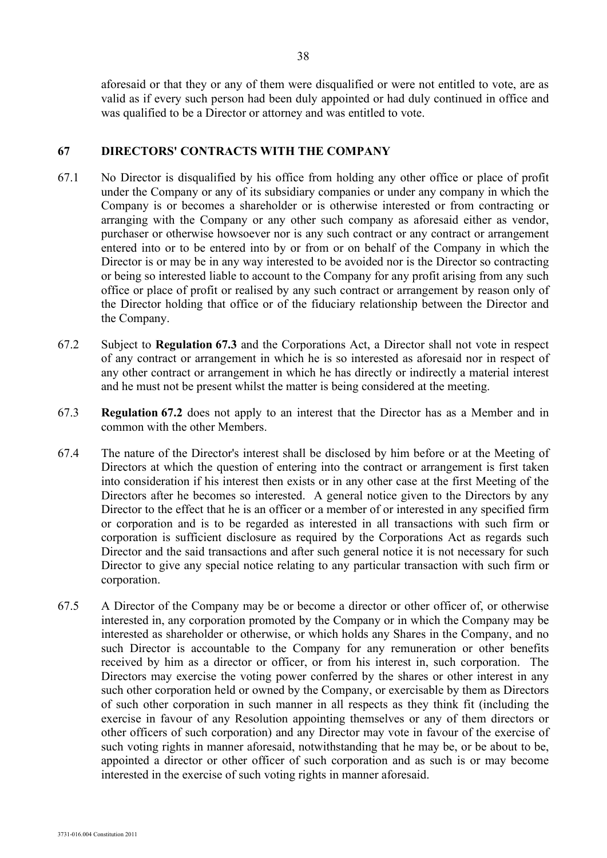aforesaid or that they or any of them were disqualified or were not entitled to vote, are as valid as if every such person had been duly appointed or had duly continued in office and was qualified to be a Director or attorney and was entitled to vote.

## **67 DIRECTORS' CONTRACTS WITH THE COMPANY**

- 67.1 No Director is disqualified by his office from holding any other office or place of profit under the Company or any of its subsidiary companies or under any company in which the Company is or becomes a shareholder or is otherwise interested or from contracting or arranging with the Company or any other such company as aforesaid either as vendor, purchaser or otherwise howsoever nor is any such contract or any contract or arrangement entered into or to be entered into by or from or on behalf of the Company in which the Director is or may be in any way interested to be avoided nor is the Director so contracting or being so interested liable to account to the Company for any profit arising from any such office or place of profit or realised by any such contract or arrangement by reason only of the Director holding that office or of the fiduciary relationship between the Director and the Company.
- 67.2 Subject to **Regulation 67.3** and the Corporations Act, a Director shall not vote in respect of any contract or arrangement in which he is so interested as aforesaid nor in respect of any other contract or arrangement in which he has directly or indirectly a material interest and he must not be present whilst the matter is being considered at the meeting.
- 67.3 **Regulation 67.2** does not apply to an interest that the Director has as a Member and in common with the other Members.
- 67.4 The nature of the Director's interest shall be disclosed by him before or at the Meeting of Directors at which the question of entering into the contract or arrangement is first taken into consideration if his interest then exists or in any other case at the first Meeting of the Directors after he becomes so interested. A general notice given to the Directors by any Director to the effect that he is an officer or a member of or interested in any specified firm or corporation and is to be regarded as interested in all transactions with such firm or corporation is sufficient disclosure as required by the Corporations Act as regards such Director and the said transactions and after such general notice it is not necessary for such Director to give any special notice relating to any particular transaction with such firm or corporation.
- 67.5 A Director of the Company may be or become a director or other officer of, or otherwise interested in, any corporation promoted by the Company or in which the Company may be interested as shareholder or otherwise, or which holds any Shares in the Company, and no such Director is accountable to the Company for any remuneration or other benefits received by him as a director or officer, or from his interest in, such corporation. The Directors may exercise the voting power conferred by the shares or other interest in any such other corporation held or owned by the Company, or exercisable by them as Directors of such other corporation in such manner in all respects as they think fit (including the exercise in favour of any Resolution appointing themselves or any of them directors or other officers of such corporation) and any Director may vote in favour of the exercise of such voting rights in manner aforesaid, notwithstanding that he may be, or be about to be, appointed a director or other officer of such corporation and as such is or may become interested in the exercise of such voting rights in manner aforesaid.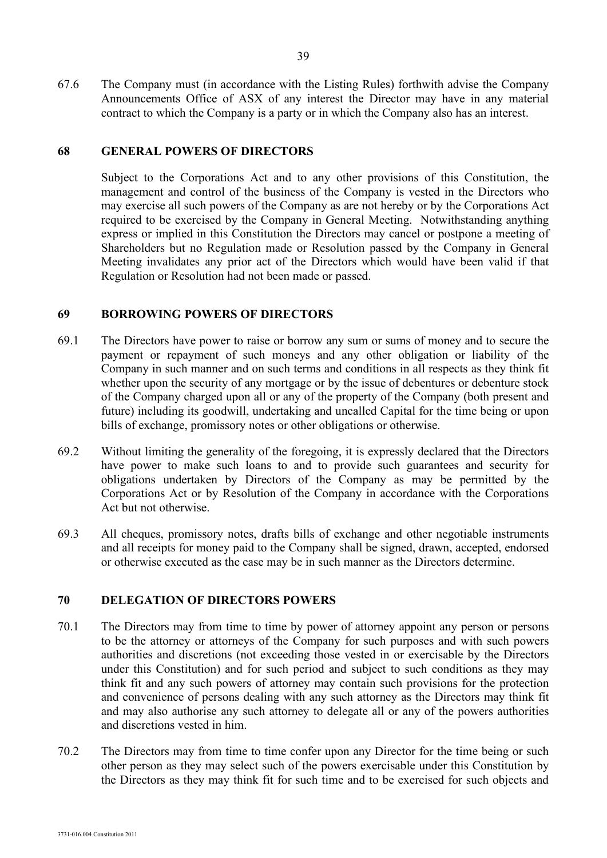67.6 The Company must (in accordance with the Listing Rules) forthwith advise the Company Announcements Office of ASX of any interest the Director may have in any material contract to which the Company is a party or in which the Company also has an interest.

#### **68 GENERAL POWERS OF DIRECTORS**

Subject to the Corporations Act and to any other provisions of this Constitution, the management and control of the business of the Company is vested in the Directors who may exercise all such powers of the Company as are not hereby or by the Corporations Act required to be exercised by the Company in General Meeting. Notwithstanding anything express or implied in this Constitution the Directors may cancel or postpone a meeting of Shareholders but no Regulation made or Resolution passed by the Company in General Meeting invalidates any prior act of the Directors which would have been valid if that Regulation or Resolution had not been made or passed.

#### **69 BORROWING POWERS OF DIRECTORS**

- 69.1 The Directors have power to raise or borrow any sum or sums of money and to secure the payment or repayment of such moneys and any other obligation or liability of the Company in such manner and on such terms and conditions in all respects as they think fit whether upon the security of any mortgage or by the issue of debentures or debenture stock of the Company charged upon all or any of the property of the Company (both present and future) including its goodwill, undertaking and uncalled Capital for the time being or upon bills of exchange, promissory notes or other obligations or otherwise.
- 69.2 Without limiting the generality of the foregoing, it is expressly declared that the Directors have power to make such loans to and to provide such guarantees and security for obligations undertaken by Directors of the Company as may be permitted by the Corporations Act or by Resolution of the Company in accordance with the Corporations Act but not otherwise.
- 69.3 All cheques, promissory notes, drafts bills of exchange and other negotiable instruments and all receipts for money paid to the Company shall be signed, drawn, accepted, endorsed or otherwise executed as the case may be in such manner as the Directors determine.

#### **70 DELEGATION OF DIRECTORS POWERS**

- 70.1 The Directors may from time to time by power of attorney appoint any person or persons to be the attorney or attorneys of the Company for such purposes and with such powers authorities and discretions (not exceeding those vested in or exercisable by the Directors under this Constitution) and for such period and subject to such conditions as they may think fit and any such powers of attorney may contain such provisions for the protection and convenience of persons dealing with any such attorney as the Directors may think fit and may also authorise any such attorney to delegate all or any of the powers authorities and discretions vested in him.
- 70.2 The Directors may from time to time confer upon any Director for the time being or such other person as they may select such of the powers exercisable under this Constitution by the Directors as they may think fit for such time and to be exercised for such objects and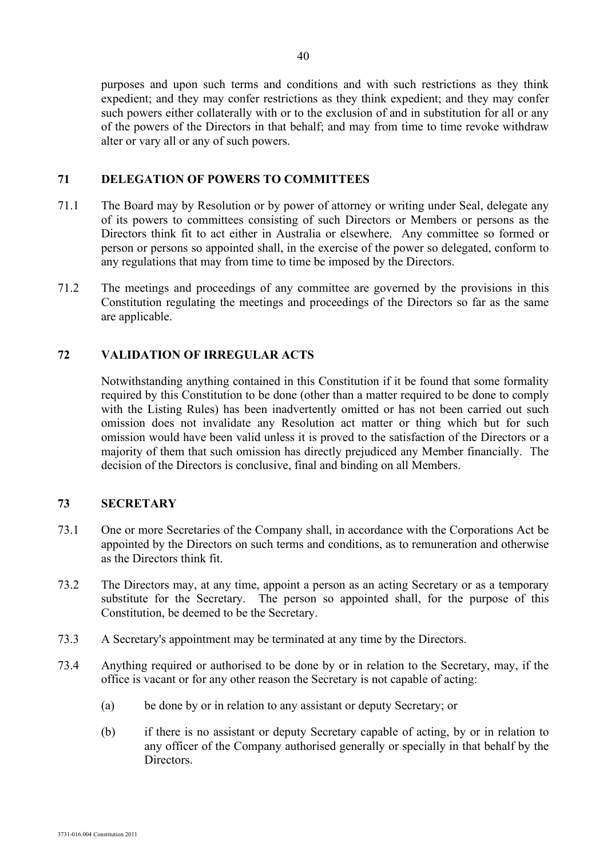purposes and upon such terms and conditions and with such restrictions as they think expedient; and they may confer restrictions as they think expedient; and they may confer such powers either collaterally with or to the exclusion of and in substitution for all or any of the powers of the Directors in that behalf; and may from time to time revoke withdraw alter or vary all or any of such powers.

## **71 DELEGATION OF POWERS TO COMMITTEES**

- 71.1 The Board may by Resolution or by power of attorney or writing under Seal, delegate any of its powers to committees consisting of such Directors or Members or persons as the Directors think fit to act either in Australia or elsewhere. Any committee so formed or person or persons so appointed shall, in the exercise of the power so delegated, conform to any regulations that may from time to time be imposed by the Directors.
- 71.2 The meetings and proceedings of any committee are governed by the provisions in this Constitution regulating the meetings and proceedings of the Directors so far as the same are applicable.

## **72 VALIDATION OF IRREGULAR ACTS**

Notwithstanding anything contained in this Constitution if it be found that some formality required by this Constitution to be done (other than a matter required to be done to comply with the Listing Rules) has been inadvertently omitted or has not been carried out such omission does not invalidate any Resolution act matter or thing which but for such omission would have been valid unless it is proved to the satisfaction of the Directors or a majority of them that such omission has directly prejudiced any Member financially. The decision of the Directors is conclusive, final and binding on all Members.

## **73 SECRETARY**

- 73.1 One or more Secretaries of the Company shall, in accordance with the Corporations Act be appointed by the Directors on such terms and conditions, as to remuneration and otherwise as the Directors think fit.
- 73.2 The Directors may, at any time, appoint a person as an acting Secretary or as a temporary substitute for the Secretary. The person so appointed shall, for the purpose of this Constitution, be deemed to be the Secretary.
- 73.3 A Secretary's appointment may be terminated at any time by the Directors.
- 73.4 Anything required or authorised to be done by or in relation to the Secretary, may, if the office is vacant or for any other reason the Secretary is not capable of acting:
	- (a) be done by or in relation to any assistant or deputy Secretary; or
	- (b) if there is no assistant or deputy Secretary capable of acting, by or in relation to any officer of the Company authorised generally or specially in that behalf by the Directors.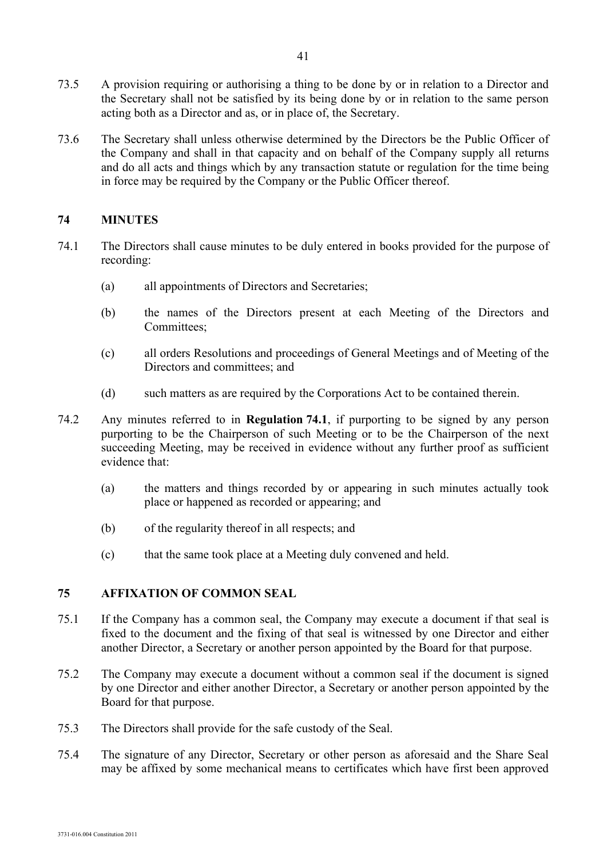- 73.5 A provision requiring or authorising a thing to be done by or in relation to a Director and the Secretary shall not be satisfied by its being done by or in relation to the same person acting both as a Director and as, or in place of, the Secretary.
- 73.6 The Secretary shall unless otherwise determined by the Directors be the Public Officer of the Company and shall in that capacity and on behalf of the Company supply all returns and do all acts and things which by any transaction statute or regulation for the time being in force may be required by the Company or the Public Officer thereof.

#### **74 MINUTES**

- 74.1 The Directors shall cause minutes to be duly entered in books provided for the purpose of recording:
	- (a) all appointments of Directors and Secretaries;
	- (b) the names of the Directors present at each Meeting of the Directors and Committees;
	- (c) all orders Resolutions and proceedings of General Meetings and of Meeting of the Directors and committees; and
	- (d) such matters as are required by the Corporations Act to be contained therein.
- 74.2 Any minutes referred to in **Regulation 74.1**, if purporting to be signed by any person purporting to be the Chairperson of such Meeting or to be the Chairperson of the next succeeding Meeting, may be received in evidence without any further proof as sufficient evidence that:
	- (a) the matters and things recorded by or appearing in such minutes actually took place or happened as recorded or appearing; and
	- (b) of the regularity thereof in all respects; and
	- (c) that the same took place at a Meeting duly convened and held.

## **75 AFFIXATION OF COMMON SEAL**

- 75.1 If the Company has a common seal, the Company may execute a document if that seal is fixed to the document and the fixing of that seal is witnessed by one Director and either another Director, a Secretary or another person appointed by the Board for that purpose.
- 75.2 The Company may execute a document without a common seal if the document is signed by one Director and either another Director, a Secretary or another person appointed by the Board for that purpose.
- 75.3 The Directors shall provide for the safe custody of the Seal.
- 75.4 The signature of any Director, Secretary or other person as aforesaid and the Share Seal may be affixed by some mechanical means to certificates which have first been approved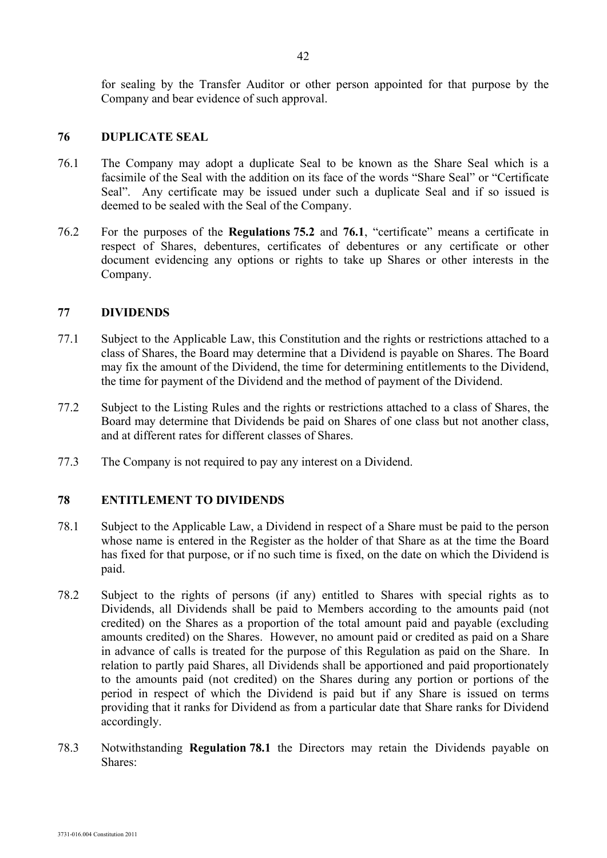for sealing by the Transfer Auditor or other person appointed for that purpose by the Company and bear evidence of such approval.

#### **76 DUPLICATE SEAL**

- 76.1 The Company may adopt a duplicate Seal to be known as the Share Seal which is a facsimile of the Seal with the addition on its face of the words "Share Seal" or "Certificate Seal". Any certificate may be issued under such a duplicate Seal and if so issued is deemed to be sealed with the Seal of the Company.
- 76.2 For the purposes of the **Regulations 75.2** and **76.1**, "certificate" means a certificate in respect of Shares, debentures, certificates of debentures or any certificate or other document evidencing any options or rights to take up Shares or other interests in the Company.

#### **77 DIVIDENDS**

- 77.1 Subject to the Applicable Law, this Constitution and the rights or restrictions attached to a class of Shares, the Board may determine that a Dividend is payable on Shares. The Board may fix the amount of the Dividend, the time for determining entitlements to the Dividend, the time for payment of the Dividend and the method of payment of the Dividend.
- 77.2 Subject to the Listing Rules and the rights or restrictions attached to a class of Shares, the Board may determine that Dividends be paid on Shares of one class but not another class, and at different rates for different classes of Shares.
- 77.3 The Company is not required to pay any interest on a Dividend.

#### **78 ENTITLEMENT TO DIVIDENDS**

- 78.1 Subject to the Applicable Law, a Dividend in respect of a Share must be paid to the person whose name is entered in the Register as the holder of that Share as at the time the Board has fixed for that purpose, or if no such time is fixed, on the date on which the Dividend is paid.
- 78.2 Subject to the rights of persons (if any) entitled to Shares with special rights as to Dividends, all Dividends shall be paid to Members according to the amounts paid (not credited) on the Shares as a proportion of the total amount paid and payable (excluding amounts credited) on the Shares. However, no amount paid or credited as paid on a Share in advance of calls is treated for the purpose of this Regulation as paid on the Share. In relation to partly paid Shares, all Dividends shall be apportioned and paid proportionately to the amounts paid (not credited) on the Shares during any portion or portions of the period in respect of which the Dividend is paid but if any Share is issued on terms providing that it ranks for Dividend as from a particular date that Share ranks for Dividend accordingly.
- 78.3 Notwithstanding **Regulation 78.1** the Directors may retain the Dividends payable on Shares: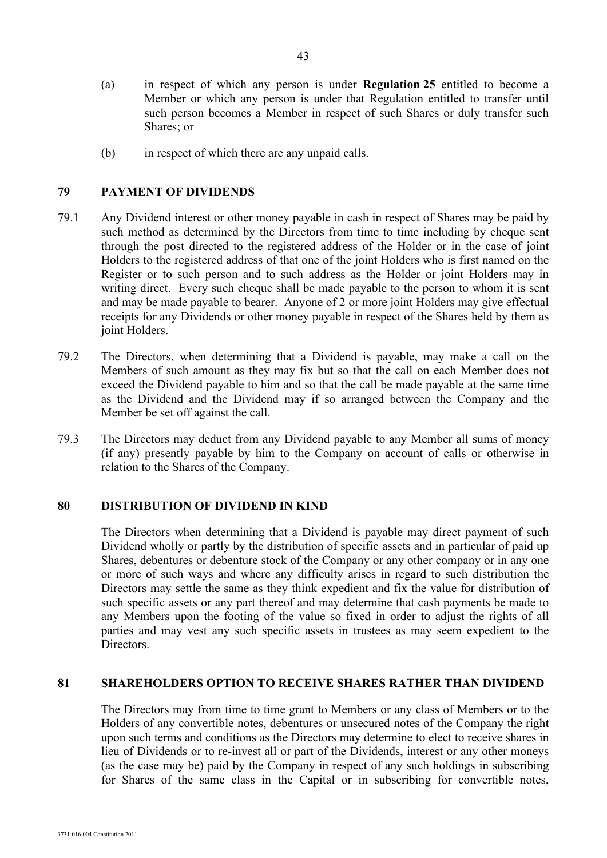- (a) in respect of which any person is under **Regulation 25** entitled to become a Member or which any person is under that Regulation entitled to transfer until such person becomes a Member in respect of such Shares or duly transfer such Shares; or
- (b) in respect of which there are any unpaid calls.

## **79 PAYMENT OF DIVIDENDS**

- 79.1 Any Dividend interest or other money payable in cash in respect of Shares may be paid by such method as determined by the Directors from time to time including by cheque sent through the post directed to the registered address of the Holder or in the case of joint Holders to the registered address of that one of the joint Holders who is first named on the Register or to such person and to such address as the Holder or joint Holders may in writing direct. Every such cheque shall be made payable to the person to whom it is sent and may be made payable to bearer. Anyone of 2 or more joint Holders may give effectual receipts for any Dividends or other money payable in respect of the Shares held by them as joint Holders.
- 79.2 The Directors, when determining that a Dividend is payable, may make a call on the Members of such amount as they may fix but so that the call on each Member does not exceed the Dividend payable to him and so that the call be made payable at the same time as the Dividend and the Dividend may if so arranged between the Company and the Member be set off against the call.
- 79.3 The Directors may deduct from any Dividend payable to any Member all sums of money (if any) presently payable by him to the Company on account of calls or otherwise in relation to the Shares of the Company.

#### **80 DISTRIBUTION OF DIVIDEND IN KIND**

The Directors when determining that a Dividend is payable may direct payment of such Dividend wholly or partly by the distribution of specific assets and in particular of paid up Shares, debentures or debenture stock of the Company or any other company or in any one or more of such ways and where any difficulty arises in regard to such distribution the Directors may settle the same as they think expedient and fix the value for distribution of such specific assets or any part thereof and may determine that cash payments be made to any Members upon the footing of the value so fixed in order to adjust the rights of all parties and may vest any such specific assets in trustees as may seem expedient to the Directors.

#### **81 SHAREHOLDERS OPTION TO RECEIVE SHARES RATHER THAN DIVIDEND**

The Directors may from time to time grant to Members or any class of Members or to the Holders of any convertible notes, debentures or unsecured notes of the Company the right upon such terms and conditions as the Directors may determine to elect to receive shares in lieu of Dividends or to re-invest all or part of the Dividends, interest or any other moneys (as the case may be) paid by the Company in respect of any such holdings in subscribing for Shares of the same class in the Capital or in subscribing for convertible notes,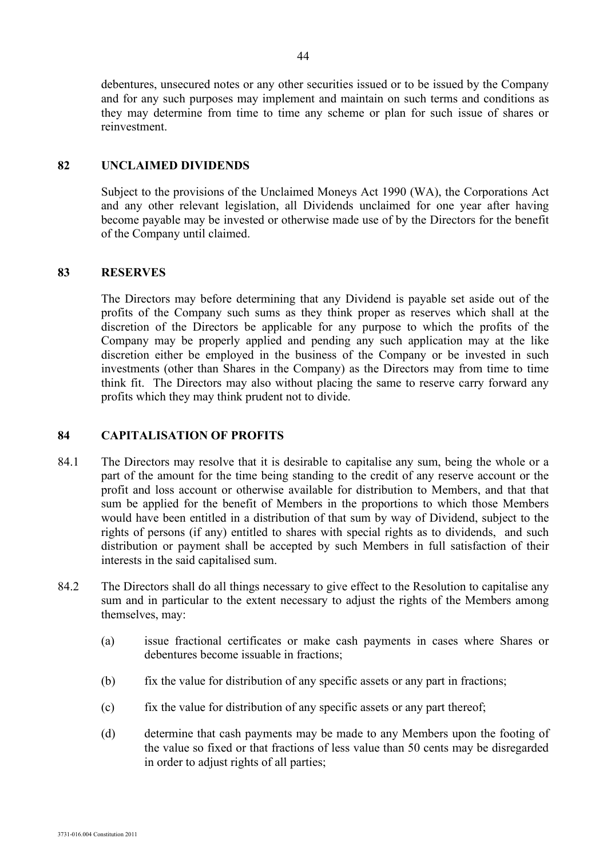debentures, unsecured notes or any other securities issued or to be issued by the Company and for any such purposes may implement and maintain on such terms and conditions as they may determine from time to time any scheme or plan for such issue of shares or reinvestment.

## **82 UNCLAIMED DIVIDENDS**

Subject to the provisions of the Unclaimed Moneys Act 1990 (WA), the Corporations Act and any other relevant legislation, all Dividends unclaimed for one year after having become payable may be invested or otherwise made use of by the Directors for the benefit of the Company until claimed.

## **83 RESERVES**

The Directors may before determining that any Dividend is payable set aside out of the profits of the Company such sums as they think proper as reserves which shall at the discretion of the Directors be applicable for any purpose to which the profits of the Company may be properly applied and pending any such application may at the like discretion either be employed in the business of the Company or be invested in such investments (other than Shares in the Company) as the Directors may from time to time think fit. The Directors may also without placing the same to reserve carry forward any profits which they may think prudent not to divide.

## **84 CAPITALISATION OF PROFITS**

- 84.1 The Directors may resolve that it is desirable to capitalise any sum, being the whole or a part of the amount for the time being standing to the credit of any reserve account or the profit and loss account or otherwise available for distribution to Members, and that that sum be applied for the benefit of Members in the proportions to which those Members would have been entitled in a distribution of that sum by way of Dividend, subject to the rights of persons (if any) entitled to shares with special rights as to dividends, and such distribution or payment shall be accepted by such Members in full satisfaction of their interests in the said capitalised sum.
- 84.2 The Directors shall do all things necessary to give effect to the Resolution to capitalise any sum and in particular to the extent necessary to adjust the rights of the Members among themselves, may:
	- (a) issue fractional certificates or make cash payments in cases where Shares or debentures become issuable in fractions;
	- (b) fix the value for distribution of any specific assets or any part in fractions;
	- (c) fix the value for distribution of any specific assets or any part thereof;
	- (d) determine that cash payments may be made to any Members upon the footing of the value so fixed or that fractions of less value than 50 cents may be disregarded in order to adjust rights of all parties;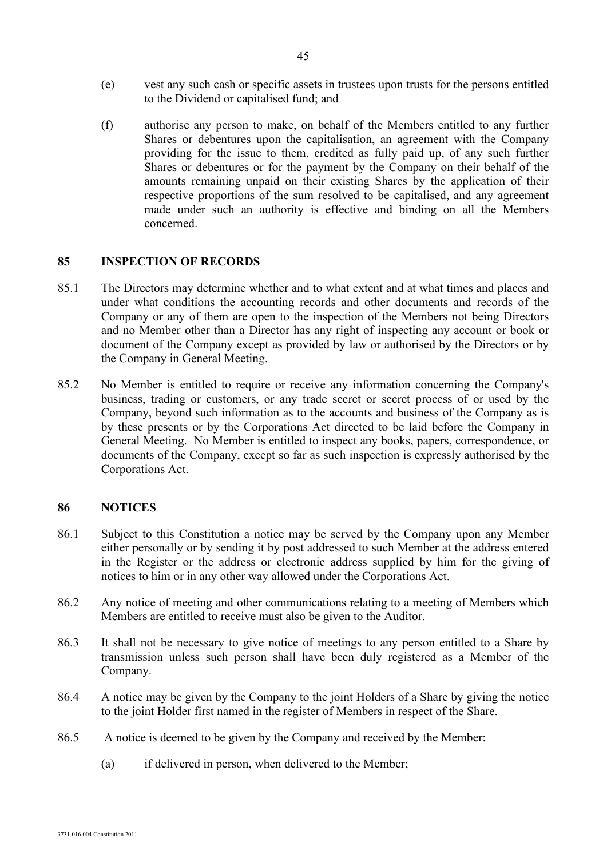- (e) vest any such cash or specific assets in trustees upon trusts for the persons entitled to the Dividend or capitalised fund; and
- (f) authorise any person to make, on behalf of the Members entitled to any further Shares or debentures upon the capitalisation, an agreement with the Company providing for the issue to them, credited as fully paid up, of any such further Shares or debentures or for the payment by the Company on their behalf of the amounts remaining unpaid on their existing Shares by the application of their respective proportions of the sum resolved to be capitalised, and any agreement made under such an authority is effective and binding on all the Members concerned.

#### **85 INSPECTION OF RECORDS**

- 85.1 The Directors may determine whether and to what extent and at what times and places and under what conditions the accounting records and other documents and records of the Company or any of them are open to the inspection of the Members not being Directors and no Member other than a Director has any right of inspecting any account or book or document of the Company except as provided by law or authorised by the Directors or by the Company in General Meeting.
- 85.2 No Member is entitled to require or receive any information concerning the Company's business, trading or customers, or any trade secret or secret process of or used by the Company, beyond such information as to the accounts and business of the Company as is by these presents or by the Corporations Act directed to be laid before the Company in General Meeting. No Member is entitled to inspect any books, papers, correspondence, or documents of the Company, except so far as such inspection is expressly authorised by the Corporations Act.

#### **86 NOTICES**

- 86.1 Subject to this Constitution a notice may be served by the Company upon any Member either personally or by sending it by post addressed to such Member at the address entered in the Register or the address or electronic address supplied by him for the giving of notices to him or in any other way allowed under the Corporations Act.
- 86.2 Any notice of meeting and other communications relating to a meeting of Members which Members are entitled to receive must also be given to the Auditor.
- 86.3 It shall not be necessary to give notice of meetings to any person entitled to a Share by transmission unless such person shall have been duly registered as a Member of the Company.
- 86.4 A notice may be given by the Company to the joint Holders of a Share by giving the notice to the joint Holder first named in the register of Members in respect of the Share.
- 86.5 A notice is deemed to be given by the Company and received by the Member:
	- (a) if delivered in person, when delivered to the Member;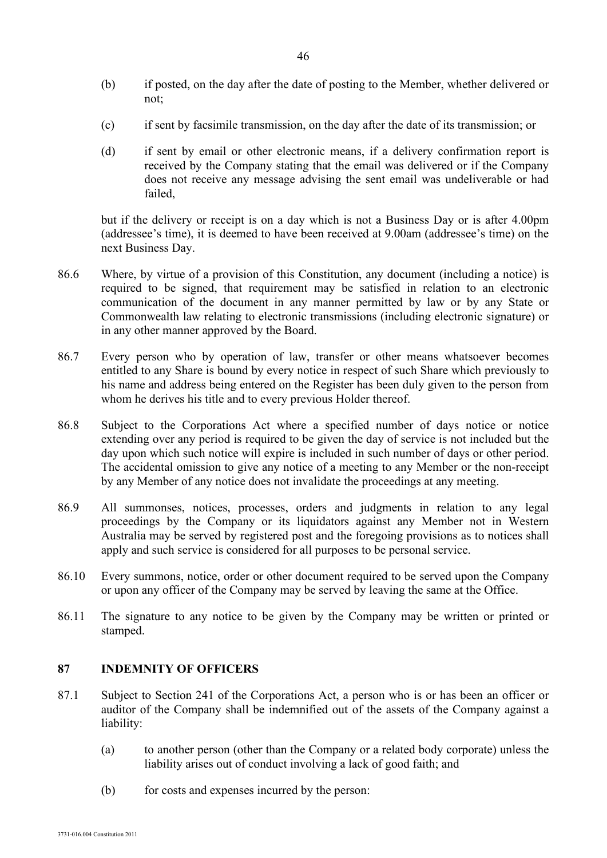- (b) if posted, on the day after the date of posting to the Member, whether delivered or not;
- (c) if sent by facsimile transmission, on the day after the date of its transmission; or
- (d) if sent by email or other electronic means, if a delivery confirmation report is received by the Company stating that the email was delivered or if the Company does not receive any message advising the sent email was undeliverable or had failed,

but if the delivery or receipt is on a day which is not a Business Day or is after 4.00pm (addressee's time), it is deemed to have been received at 9.00am (addressee's time) on the next Business Day.

- 86.6 Where, by virtue of a provision of this Constitution, any document (including a notice) is required to be signed, that requirement may be satisfied in relation to an electronic communication of the document in any manner permitted by law or by any State or Commonwealth law relating to electronic transmissions (including electronic signature) or in any other manner approved by the Board.
- 86.7 Every person who by operation of law, transfer or other means whatsoever becomes entitled to any Share is bound by every notice in respect of such Share which previously to his name and address being entered on the Register has been duly given to the person from whom he derives his title and to every previous Holder thereof.
- 86.8 Subject to the Corporations Act where a specified number of days notice or notice extending over any period is required to be given the day of service is not included but the day upon which such notice will expire is included in such number of days or other period. The accidental omission to give any notice of a meeting to any Member or the non-receipt by any Member of any notice does not invalidate the proceedings at any meeting.
- 86.9 All summonses, notices, processes, orders and judgments in relation to any legal proceedings by the Company or its liquidators against any Member not in Western Australia may be served by registered post and the foregoing provisions as to notices shall apply and such service is considered for all purposes to be personal service.
- 86.10 Every summons, notice, order or other document required to be served upon the Company or upon any officer of the Company may be served by leaving the same at the Office.
- 86.11 The signature to any notice to be given by the Company may be written or printed or stamped.

#### **87 INDEMNITY OF OFFICERS**

- 87.1 Subject to Section 241 of the Corporations Act, a person who is or has been an officer or auditor of the Company shall be indemnified out of the assets of the Company against a liability:
	- (a) to another person (other than the Company or a related body corporate) unless the liability arises out of conduct involving a lack of good faith; and
	- (b) for costs and expenses incurred by the person: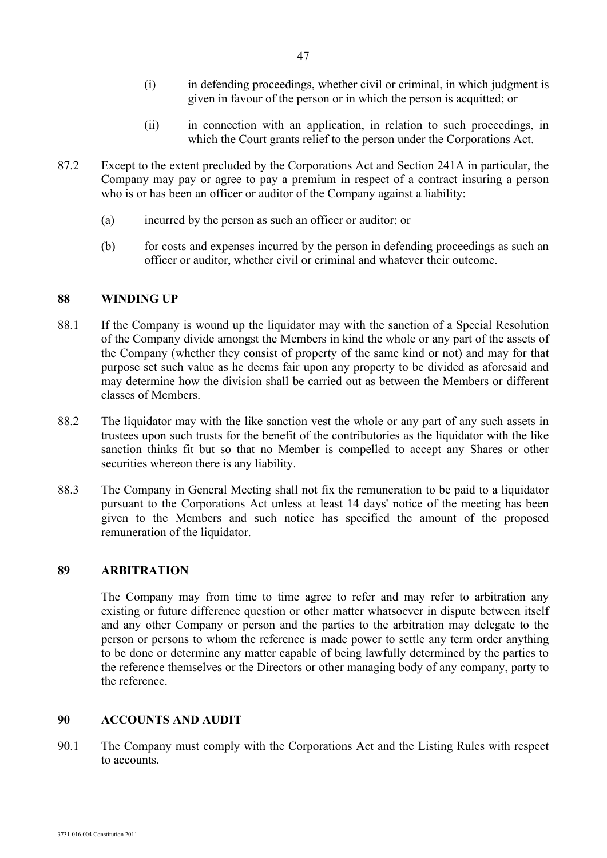- (i) in defending proceedings, whether civil or criminal, in which judgment is given in favour of the person or in which the person is acquitted; or
- (ii) in connection with an application, in relation to such proceedings, in which the Court grants relief to the person under the Corporations Act.
- 87.2 Except to the extent precluded by the Corporations Act and Section 241A in particular, the Company may pay or agree to pay a premium in respect of a contract insuring a person who is or has been an officer or auditor of the Company against a liability:
	- (a) incurred by the person as such an officer or auditor; or
	- (b) for costs and expenses incurred by the person in defending proceedings as such an officer or auditor, whether civil or criminal and whatever their outcome.

#### **88 WINDING UP**

- 88.1 If the Company is wound up the liquidator may with the sanction of a Special Resolution of the Company divide amongst the Members in kind the whole or any part of the assets of the Company (whether they consist of property of the same kind or not) and may for that purpose set such value as he deems fair upon any property to be divided as aforesaid and may determine how the division shall be carried out as between the Members or different classes of Members.
- 88.2 The liquidator may with the like sanction vest the whole or any part of any such assets in trustees upon such trusts for the benefit of the contributories as the liquidator with the like sanction thinks fit but so that no Member is compelled to accept any Shares or other securities whereon there is any liability.
- 88.3 The Company in General Meeting shall not fix the remuneration to be paid to a liquidator pursuant to the Corporations Act unless at least 14 days' notice of the meeting has been given to the Members and such notice has specified the amount of the proposed remuneration of the liquidator.

#### **89 ARBITRATION**

The Company may from time to time agree to refer and may refer to arbitration any existing or future difference question or other matter whatsoever in dispute between itself and any other Company or person and the parties to the arbitration may delegate to the person or persons to whom the reference is made power to settle any term order anything to be done or determine any matter capable of being lawfully determined by the parties to the reference themselves or the Directors or other managing body of any company, party to the reference.

#### **90 ACCOUNTS AND AUDIT**

90.1 The Company must comply with the Corporations Act and the Listing Rules with respect to accounts.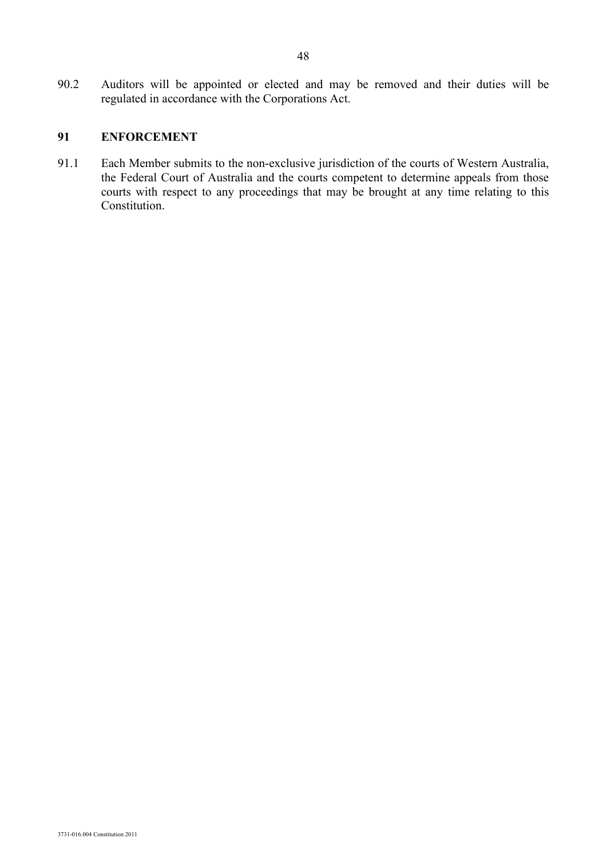90.2 Auditors will be appointed or elected and may be removed and their duties will be regulated in accordance with the Corporations Act.

## **91 ENFORCEMENT**

91.1 Each Member submits to the non-exclusive jurisdiction of the courts of Western Australia, the Federal Court of Australia and the courts competent to determine appeals from those courts with respect to any proceedings that may be brought at any time relating to this Constitution.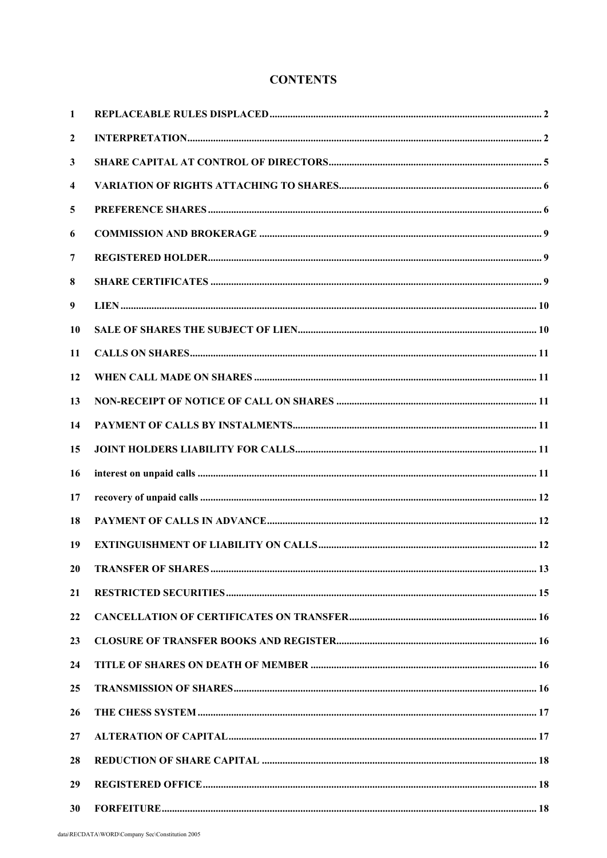## **CONTENTS**

| 1                       |  |
|-------------------------|--|
| $\mathbf{2}$            |  |
| 3                       |  |
| $\overline{\mathbf{4}}$ |  |
| 5                       |  |
| 6                       |  |
| 7                       |  |
| 8                       |  |
| 9                       |  |
| 10                      |  |
| 11                      |  |
| 12                      |  |
| 13                      |  |
| 14                      |  |
| 15                      |  |
| 16                      |  |
| 17                      |  |
| 18                      |  |
| 19                      |  |
| 20                      |  |
| 21                      |  |
| 22                      |  |
| 23                      |  |
| 24                      |  |
| 25                      |  |
| 26                      |  |
| 27                      |  |
| 28                      |  |
| 29                      |  |
| 30                      |  |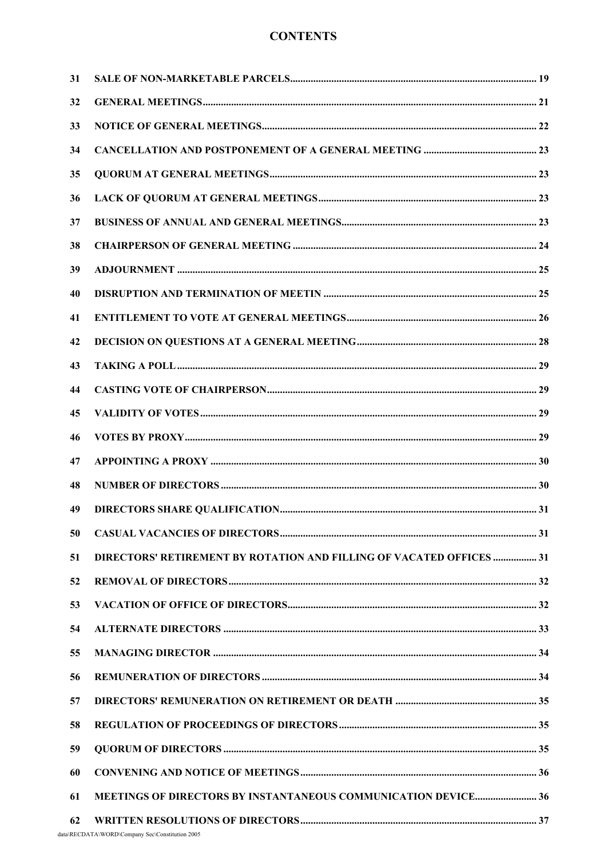## **CONTENTS**

| 31 |                                                                      |  |
|----|----------------------------------------------------------------------|--|
| 32 |                                                                      |  |
| 33 |                                                                      |  |
| 34 |                                                                      |  |
| 35 |                                                                      |  |
| 36 |                                                                      |  |
| 37 |                                                                      |  |
| 38 |                                                                      |  |
| 39 |                                                                      |  |
| 40 |                                                                      |  |
| 41 |                                                                      |  |
| 42 |                                                                      |  |
| 43 |                                                                      |  |
| 44 |                                                                      |  |
| 45 |                                                                      |  |
| 46 |                                                                      |  |
| 47 |                                                                      |  |
| 48 |                                                                      |  |
| 49 |                                                                      |  |
| 50 |                                                                      |  |
| 51 | DIRECTORS' RETIREMENT BY ROTATION AND FILLING OF VACATED OFFICES  31 |  |
| 52 |                                                                      |  |
| 53 |                                                                      |  |
| 54 |                                                                      |  |
| 55 |                                                                      |  |
| 56 |                                                                      |  |
| 57 |                                                                      |  |
| 58 |                                                                      |  |
| 59 |                                                                      |  |
| 60 |                                                                      |  |
| 61 | MEETINGS OF DIRECTORS BY INSTANTANEOUS COMMUNICATION DEVICE 36       |  |
| 62 |                                                                      |  |